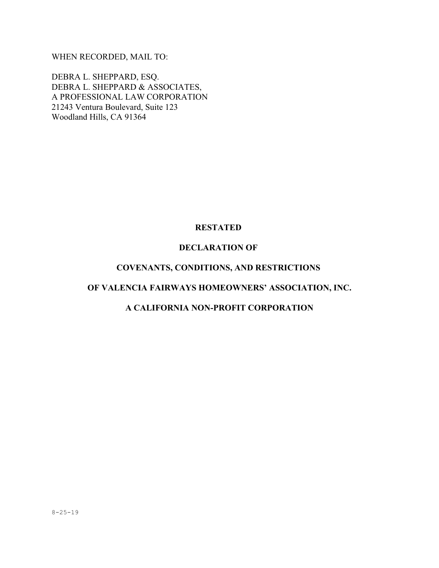WHEN RECORDED, MAIL TO:

DEBRA L. SHEPPARD, ESQ. DEBRA L. SHEPPARD & ASSOCIATES, A PROFESSIONAL LAW CORPORATION 21243 Ventura Boulevard, Suite 123 Woodland Hills, CA 91364

# **RESTATED**

### **DECLARATION OF**

# **COVENANTS, CONDITIONS, AND RESTRICTIONS**

# **OF VALENCIA FAIRWAYS HOMEOWNERS' ASSOCIATION, INC.**

## **A CALIFORNIA NON-PROFIT CORPORATION**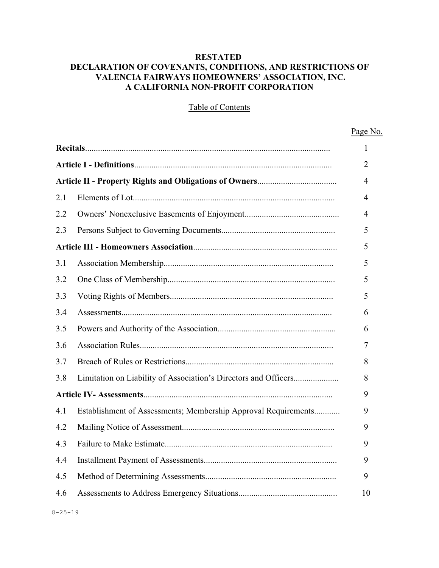## **RESTATED DECLARATION OF COVENANTS, CONDITIONS, AND RESTRICTIONS OF VALENCIA FAIRWAYS HOMEOWNERS' ASSOCIATION, INC. A CALIFORNIA NON-PROFIT CORPORATION**

# Table of Contents

Page No.

|     |                                                                | 1  |
|-----|----------------------------------------------------------------|----|
|     |                                                                | 2  |
|     |                                                                | 4  |
| 2.1 |                                                                | 4  |
| 2.2 |                                                                | 4  |
| 2.3 |                                                                | 5  |
|     |                                                                | 5  |
| 3.1 |                                                                | 5  |
| 3.2 |                                                                | 5  |
| 3.3 |                                                                | 5  |
| 3.4 |                                                                | 6  |
| 3.5 |                                                                | 6  |
| 3.6 |                                                                | 7  |
| 3.7 |                                                                | 8  |
| 3.8 |                                                                | 8  |
|     |                                                                | 9  |
| 4.1 | Establishment of Assessments; Membership Approval Requirements | 9  |
| 4.2 |                                                                | 9  |
| 4.3 |                                                                | 9  |
| 4.4 |                                                                | 9  |
| 4.5 |                                                                | 9  |
| 4.6 |                                                                | 10 |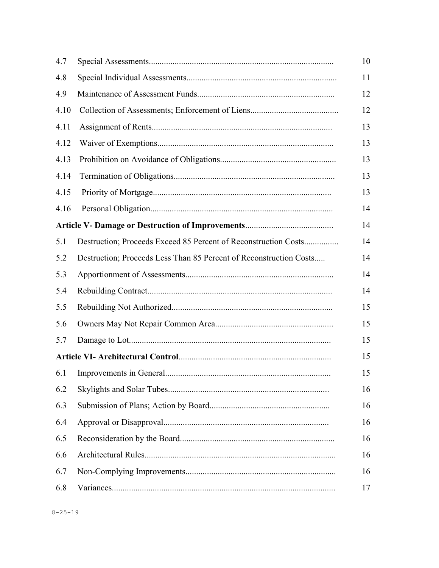| 4.7  |                                                                    | 10 |
|------|--------------------------------------------------------------------|----|
| 4.8  |                                                                    | 11 |
| 4.9  |                                                                    | 12 |
| 4.10 |                                                                    | 12 |
| 4.11 |                                                                    | 13 |
| 4.12 |                                                                    | 13 |
| 4.13 |                                                                    | 13 |
| 4.14 |                                                                    | 13 |
| 4.15 |                                                                    | 13 |
| 4.16 |                                                                    | 14 |
|      |                                                                    | 14 |
| 5.1  | Destruction; Proceeds Exceed 85 Percent of Reconstruction Costs    | 14 |
| 5.2  | Destruction; Proceeds Less Than 85 Percent of Reconstruction Costs | 14 |
| 5.3  |                                                                    | 14 |
| 5.4  |                                                                    | 14 |
| 5.5  |                                                                    | 15 |
| 5.6  |                                                                    | 15 |
| 5.7  |                                                                    | 15 |
|      |                                                                    | 15 |
| 6.1  |                                                                    | 15 |
| 6.2  |                                                                    | 16 |
| 6.3  |                                                                    | 16 |
| 6.4  |                                                                    | 16 |
| 6.5  |                                                                    | 16 |
| 6.6  |                                                                    | 16 |
| 6.7  |                                                                    | 16 |
| 6.8  |                                                                    | 17 |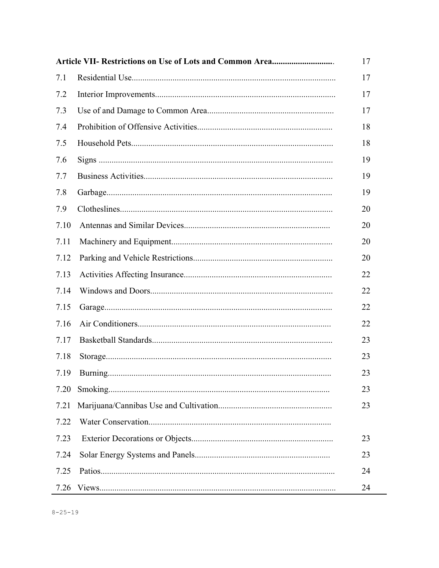|      | 17 |
|------|----|
| 7.1  | 17 |
| 7.2  | 17 |
| 7.3  | 17 |
| 7.4  | 18 |
| 7.5  | 18 |
| 7.6  | 19 |
| 7.7  | 19 |
| 7.8  | 19 |
| 7.9  | 20 |
| 7.10 | 20 |
| 7.11 | 20 |
| 7.12 | 20 |
| 7.13 | 22 |
| 7.14 | 22 |
| 7.15 | 22 |
| 7.16 | 22 |
| 7.17 | 23 |
| 7.18 | 23 |
| 7.19 | 23 |
| 7.20 | 23 |
| 7.21 | 23 |
| 7.22 |    |
| 7.23 | 23 |
| 7.24 | 23 |
| 7.25 | 24 |
| 7.26 | 24 |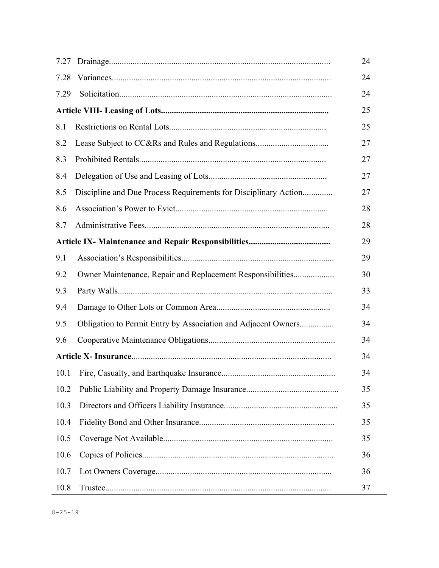| 7.27 |                                                                 | 24 |
|------|-----------------------------------------------------------------|----|
| 7.28 |                                                                 | 24 |
| 7.29 |                                                                 | 24 |
|      |                                                                 | 25 |
| 8.1  |                                                                 | 25 |
| 8.2  |                                                                 | 27 |
| 8.3  |                                                                 | 27 |
| 8.4  |                                                                 | 27 |
| 8.5  | Discipline and Due Process Requirements for Disciplinary Action | 27 |
| 8.6  |                                                                 | 28 |
| 8.7  |                                                                 | 28 |
|      |                                                                 | 29 |
| 9.1  |                                                                 | 29 |
| 9.2  | Owner Maintenance, Repair and Replacement Responsibilities      | 30 |
| 9.3  |                                                                 | 33 |
| 9.4  |                                                                 | 34 |
| 9.5  | Obligation to Permit Entry by Association and Adjacent Owners   | 34 |
| 9.6  |                                                                 | 34 |
|      |                                                                 | 34 |
| 10.1 |                                                                 | 34 |
| 10.2 |                                                                 | 35 |
| 10.3 |                                                                 | 35 |
| 10.4 |                                                                 | 35 |
| 10.5 |                                                                 | 35 |
| 10.6 |                                                                 | 36 |
| 10.7 |                                                                 | 36 |
| 10.8 |                                                                 | 37 |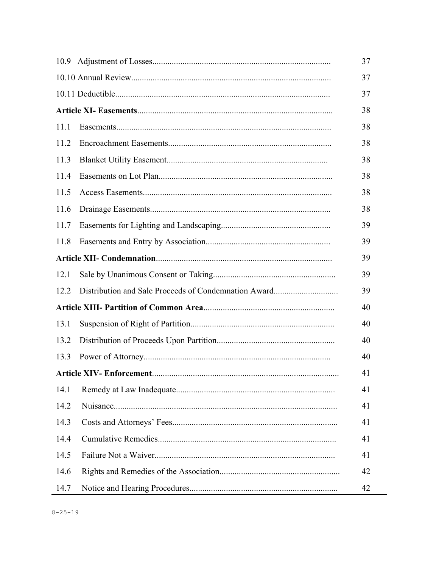|      |  | 37 |
|------|--|----|
|      |  | 37 |
|      |  | 37 |
|      |  | 38 |
| 11.1 |  | 38 |
| 11.2 |  | 38 |
| 11.3 |  | 38 |
| 11.4 |  | 38 |
| 11.5 |  | 38 |
| 11.6 |  | 38 |
| 11.7 |  | 39 |
| 11.8 |  | 39 |
|      |  | 39 |
| 12.1 |  | 39 |
| 12.2 |  | 39 |
|      |  | 40 |
| 13.1 |  | 40 |
| 13.2 |  | 40 |
| 13.3 |  | 40 |
|      |  | 41 |
| 14.1 |  | 41 |
| 14.2 |  | 41 |
| 14.3 |  | 41 |
| 14.4 |  | 41 |
| 14.5 |  | 41 |
| 14.6 |  | 42 |
| 14.7 |  | 42 |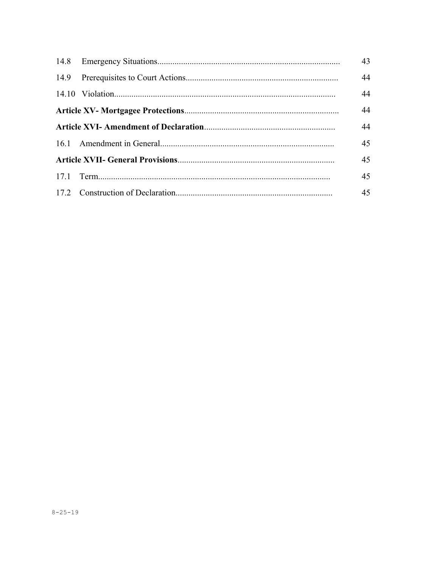|  |  | 43 |
|--|--|----|
|  |  | 44 |
|  |  | 44 |
|  |  | 44 |
|  |  | 44 |
|  |  | 45 |
|  |  | 45 |
|  |  | 45 |
|  |  | 45 |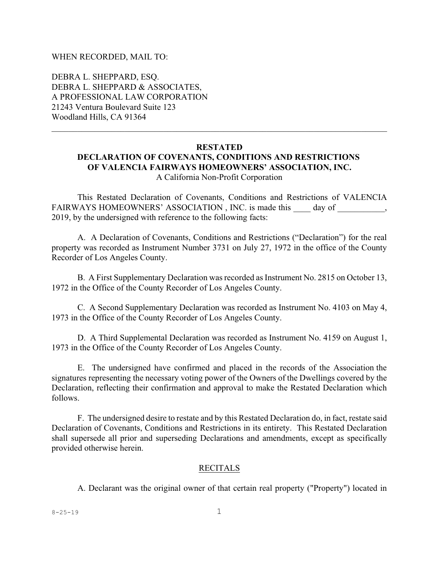#### WHEN RECORDED, MAIL TO:

DEBRA L. SHEPPARD, ESQ. DEBRA L. SHEPPARD & ASSOCIATES, A PROFESSIONAL LAW CORPORATION 21243 Ventura Boulevard Suite 123 Woodland Hills, CA 91364

# **RESTATED**

### **DECLARATION OF COVENANTS, CONDITIONS AND RESTRICTIONS OF VALENCIA FAIRWAYS HOMEOWNERS' ASSOCIATION, INC.**

A California Non-Profit Corporation

This Restated Declaration of Covenants, Conditions and Restrictions of VALENCIA FAIRWAYS HOMEOWNERS' ASSOCIATION, INC. is made this \_\_\_\_\_ day of \_\_\_\_\_\_\_\_\_, 2019, by the undersigned with reference to the following facts:

A. A Declaration of Covenants, Conditions and Restrictions ("Declaration") for the real property was recorded as Instrument Number 3731 on July 27, 1972 in the office of the County Recorder of Los Angeles County.

B. A First Supplementary Declaration was recorded as Instrument No. 2815 on October 13, 1972 in the Office of the County Recorder of Los Angeles County.

C. A Second Supplementary Declaration was recorded as Instrument No. 4103 on May 4, 1973 in the Office of the County Recorder of Los Angeles County.

D. A Third Supplemental Declaration was recorded as Instrument No. 4159 on August 1, 1973 in the Office of the County Recorder of Los Angeles County.

E. The undersigned have confirmed and placed in the records of the Association the signatures representing the necessary voting power of the Owners of the Dwellings covered by the Declaration, reflecting their confirmation and approval to make the Restated Declaration which follows.

F. The undersigned desire to restate and by this Restated Declaration do, in fact, restate said Declaration of Covenants, Conditions and Restrictions in its entirety. This Restated Declaration shall supersede all prior and superseding Declarations and amendments, except as specifically provided otherwise herein.

#### RECITALS

A. Declarant was the original owner of that certain real property ("Property") located in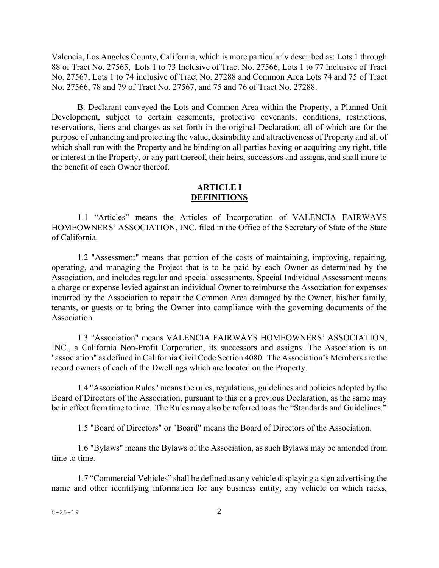Valencia, Los Angeles County, California, which is more particularly described as: Lots 1 through 88 of Tract No. 27565, Lots 1 to 73 Inclusive of Tract No. 27566, Lots 1 to 77 Inclusive of Tract No. 27567, Lots 1 to 74 inclusive of Tract No. 27288 and Common Area Lots 74 and 75 of Tract No. 27566, 78 and 79 of Tract No. 27567, and 75 and 76 of Tract No. 27288.

B. Declarant conveyed the Lots and Common Area within the Property, a Planned Unit Development, subject to certain easements, protective covenants, conditions, restrictions, reservations, liens and charges as set forth in the original Declaration, all of which are for the purpose of enhancing and protecting the value, desirability and attractiveness of Property and all of which shall run with the Property and be binding on all parties having or acquiring any right, title or interest in the Property, or any part thereof, their heirs, successors and assigns, and shall inure to the benefit of each Owner thereof.

### **ARTICLE I DEFINITIONS**

1.1 "Articles" means the Articles of Incorporation of VALENCIA FAIRWAYS HOMEOWNERS' ASSOCIATION, INC. filed in the Office of the Secretary of State of the State of California.

1.2 "Assessment" means that portion of the costs of maintaining, improving, repairing, operating, and managing the Project that is to be paid by each Owner as determined by the Association, and includes regular and special assessments. Special Individual Assessment means a charge or expense levied against an individual Owner to reimburse the Association for expenses incurred by the Association to repair the Common Area damaged by the Owner, his/her family, tenants, or guests or to bring the Owner into compliance with the governing documents of the Association.

1.3 "Association" means VALENCIA FAIRWAYS HOMEOWNERS' ASSOCIATION, INC., a California Non-Profit Corporation, its successors and assigns. The Association is an "association" as defined in California Civil Code Section 4080. The Association's Members are the record owners of each of the Dwellings which are located on the Property.

1.4 "Association Rules" means the rules, regulations, guidelines and policies adopted by the Board of Directors of the Association, pursuant to this or a previous Declaration, as the same may be in effect from time to time. The Rules may also be referred to as the "Standards and Guidelines."

1.5 "Board of Directors" or "Board" means the Board of Directors of the Association.

1.6 "Bylaws" means the Bylaws of the Association, as such Bylaws may be amended from time to time.

1.7 "Commercial Vehicles" shall be defined as any vehicle displaying a sign advertising the name and other identifying information for any business entity, any vehicle on which racks,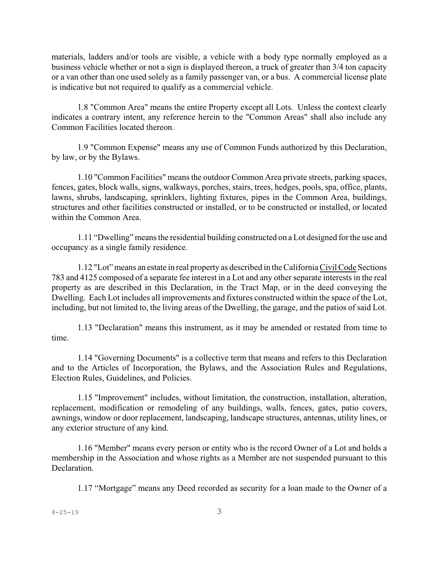materials, ladders and/or tools are visible, a vehicle with a body type normally employed as a business vehicle whether or not a sign is displayed thereon, a truck of greater than 3/4 ton capacity or a van other than one used solely as a family passenger van, or a bus. A commercial license plate is indicative but not required to qualify as a commercial vehicle.

1.8 "Common Area" means the entire Property except all Lots. Unless the context clearly indicates a contrary intent, any reference herein to the "Common Areas" shall also include any Common Facilities located thereon.

1.9 "Common Expense" means any use of Common Funds authorized by this Declaration, by law, or by the Bylaws.

1.10 "Common Facilities" means the outdoor Common Area private streets, parking spaces, fences, gates, block walls, signs, walkways, porches, stairs, trees, hedges, pools, spa, office, plants, lawns, shrubs, landscaping, sprinklers, lighting fixtures, pipes in the Common Area, buildings, structures and other facilities constructed or installed, or to be constructed or installed, or located within the Common Area.

1.11 "Dwelling" means the residential building constructed on a Lot designed for the use and occupancy as a single family residence.

1.12 "Lot" means an estate in real property as described in theCalifornia Civil Code Sections 783 and 4125 composed of a separate fee interest in a Lot and any other separate interests in the real property as are described in this Declaration, in the Tract Map, or in the deed conveying the Dwelling. Each Lot includes all improvements and fixtures constructed within the space of the Lot, including, but not limited to, the living areas of the Dwelling, the garage, and the patios of said Lot.

1.13 "Declaration" means this instrument, as it may be amended or restated from time to time.

1.14 "Governing Documents" is a collective term that means and refers to this Declaration and to the Articles of Incorporation, the Bylaws, and the Association Rules and Regulations, Election Rules, Guidelines, and Policies.

1.15 "Improvement" includes, without limitation, the construction, installation, alteration, replacement, modification or remodeling of any buildings, walls, fences, gates, patio covers, awnings, window or door replacement, landscaping, landscape structures, antennas, utility lines, or any exterior structure of any kind.

1.16 "Member" means every person or entity who is the record Owner of a Lot and holds a membership in the Association and whose rights as a Member are not suspended pursuant to this **Declaration** 

1.17 "Mortgage" means any Deed recorded as security for a loan made to the Owner of a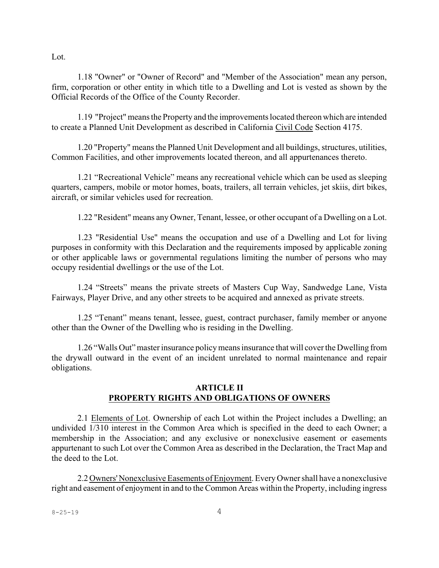Lot.

1.18 "Owner" or "Owner of Record" and "Member of the Association" mean any person, firm, corporation or other entity in which title to a Dwelling and Lot is vested as shown by the Official Records of the Office of the County Recorder.

1.19 "Project" means the Property and the improvementslocated thereon which are intended to create a Planned Unit Development as described in California Civil Code Section 4175.

1.20 "Property" means the Planned Unit Development and all buildings, structures, utilities, Common Facilities, and other improvements located thereon, and all appurtenances thereto.

1.21 "Recreational Vehicle" means any recreational vehicle which can be used as sleeping quarters, campers, mobile or motor homes, boats, trailers, all terrain vehicles, jet skiis, dirt bikes, aircraft, or similar vehicles used for recreation.

1.22 "Resident" means any Owner, Tenant, lessee, or other occupant of a Dwelling on a Lot.

1.23 "Residential Use" means the occupation and use of a Dwelling and Lot for living purposes in conformity with this Declaration and the requirements imposed by applicable zoning or other applicable laws or governmental regulations limiting the number of persons who may occupy residential dwellings or the use of the Lot.

1.24 "Streets" means the private streets of Masters Cup Way, Sandwedge Lane, Vista Fairways, Player Drive, and any other streets to be acquired and annexed as private streets.

1.25 "Tenant" means tenant, lessee, guest, contract purchaser, family member or anyone other than the Owner of the Dwelling who is residing in the Dwelling.

1.26 "Walls Out" master insurance policy means insurance that will coverthe Dwelling from the drywall outward in the event of an incident unrelated to normal maintenance and repair obligations.

### **ARTICLE II PROPERTY RIGHTS AND OBLIGATIONS OF OWNERS**

2.1 Elements of Lot. Ownership of each Lot within the Project includes a Dwelling; an undivided 1/310 interest in the Common Area which is specified in the deed to each Owner; a membership in the Association; and any exclusive or nonexclusive easement or easements appurtenant to such Lot over the Common Area as described in the Declaration, the Tract Map and the deed to the Lot.

2.2 Owners' Nonexclusive Easements of Enjoyment. Every Owner shall have a nonexclusive right and easement of enjoyment in and to the Common Areas within the Property, including ingress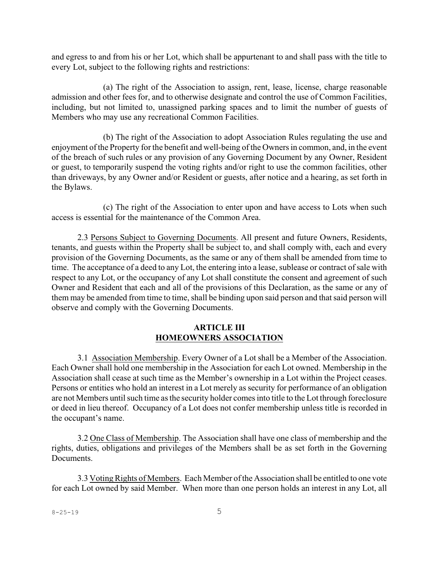and egress to and from his or her Lot, which shall be appurtenant to and shall pass with the title to every Lot, subject to the following rights and restrictions:

(a) The right of the Association to assign, rent, lease, license, charge reasonable admission and other fees for, and to otherwise designate and control the use of Common Facilities, including, but not limited to, unassigned parking spaces and to limit the number of guests of Members who may use any recreational Common Facilities.

(b) The right of the Association to adopt Association Rules regulating the use and enjoyment of the Property for the benefit and well-being of the Owners in common, and, in the event of the breach of such rules or any provision of any Governing Document by any Owner, Resident or guest, to temporarily suspend the voting rights and/or right to use the common facilities, other than driveways, by any Owner and/or Resident or guests, after notice and a hearing, as set forth in the Bylaws.

(c) The right of the Association to enter upon and have access to Lots when such access is essential for the maintenance of the Common Area.

2.3 Persons Subject to Governing Documents. All present and future Owners, Residents, tenants, and guests within the Property shall be subject to, and shall comply with, each and every provision of the Governing Documents, as the same or any of them shall be amended from time to time. The acceptance of a deed to any Lot, the entering into a lease, sublease or contract of sale with respect to any Lot, or the occupancy of any Lot shall constitute the consent and agreement of such Owner and Resident that each and all of the provisions of this Declaration, as the same or any of them may be amended from time to time, shall be binding upon said person and that said person will observe and comply with the Governing Documents.

### **ARTICLE III HOMEOWNERS ASSOCIATION**

3.1 Association Membership. Every Owner of a Lot shall be a Member of the Association. Each Owner shall hold one membership in the Association for each Lot owned. Membership in the Association shall cease at such time as the Member's ownership in a Lot within the Project ceases. Persons or entities who hold an interest in a Lot merely as security for performance of an obligation are not Members until such time asthe security holder comesinto title to the Lot through foreclosure or deed in lieu thereof. Occupancy of a Lot does not confer membership unless title is recorded in the occupant's name.

3.2 One Class of Membership. The Association shall have one class of membership and the rights, duties, obligations and privileges of the Members shall be as set forth in the Governing Documents.

3.3 Voting Rights of Members. Each Member ofthe Association shall be entitled to one vote for each Lot owned by said Member. When more than one person holds an interest in any Lot, all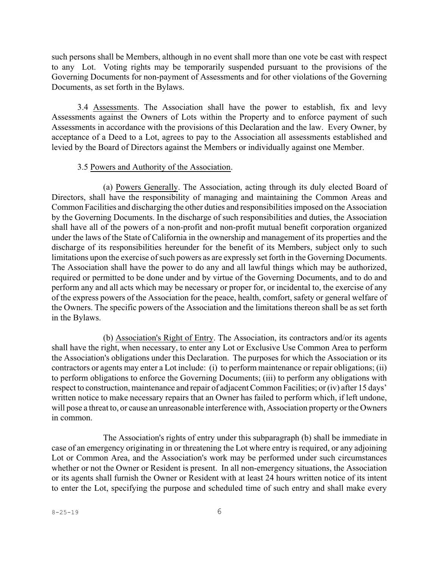such persons shall be Members, although in no event shall more than one vote be cast with respect to any Lot. Voting rights may be temporarily suspended pursuant to the provisions of the Governing Documents for non-payment of Assessments and for other violations of the Governing Documents, as set forth in the Bylaws.

3.4 Assessments. The Association shall have the power to establish, fix and levy Assessments against the Owners of Lots within the Property and to enforce payment of such Assessments in accordance with the provisions of this Declaration and the law. Every Owner, by acceptance of a Deed to a Lot, agrees to pay to the Association all assessments established and levied by the Board of Directors against the Members or individually against one Member.

#### 3.5 Powers and Authority of the Association.

(a) Powers Generally. The Association, acting through its duly elected Board of Directors, shall have the responsibility of managing and maintaining the Common Areas and Common Facilities and discharging the other duties and responsibilities imposed on the Association by the Governing Documents. In the discharge of such responsibilities and duties, the Association shall have all of the powers of a non-profit and non-profit mutual benefit corporation organized under the laws of the State of California in the ownership and management of its properties and the discharge of its responsibilities hereunder for the benefit of its Members, subject only to such limitations upon the exercise of such powers as are expressly set forth in the Governing Documents. The Association shall have the power to do any and all lawful things which may be authorized, required or permitted to be done under and by virtue of the Governing Documents, and to do and perform any and all acts which may be necessary or proper for, or incidental to, the exercise of any of the express powers of the Association for the peace, health, comfort, safety or general welfare of the Owners. The specific powers of the Association and the limitations thereon shall be as set forth in the Bylaws.

(b) Association's Right of Entry. The Association, its contractors and/or its agents shall have the right, when necessary, to enter any Lot or Exclusive Use Common Area to perform the Association's obligations under this Declaration. The purposes for which the Association or its contractors or agents may enter a Lot include: (i) to perform maintenance or repair obligations; (ii) to perform obligations to enforce the Governing Documents; (iii) to perform any obligations with respect to construction, maintenance and repair of adjacent Common Facilities; or (iv) after 15 days' written notice to make necessary repairs that an Owner has failed to perform which, if left undone, will pose a threat to, or cause an unreasonable interference with, Association property or the Owners in common.

The Association's rights of entry under this subparagraph (b) shall be immediate in case of an emergency originating in or threatening the Lot where entry is required, or any adjoining Lot or Common Area, and the Association's work may be performed under such circumstances whether or not the Owner or Resident is present. In all non-emergency situations, the Association or its agents shall furnish the Owner or Resident with at least 24 hours written notice of its intent to enter the Lot, specifying the purpose and scheduled time of such entry and shall make every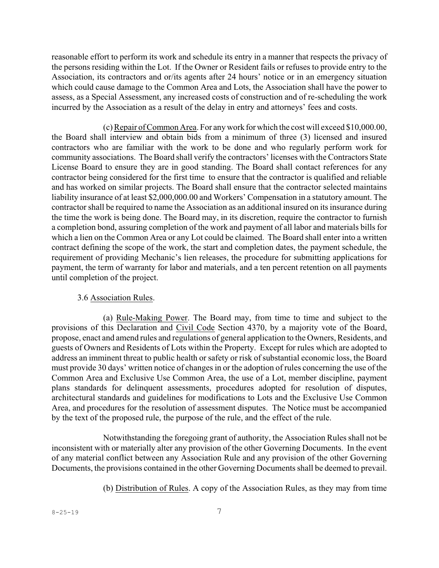reasonable effort to perform its work and schedule its entry in a manner that respects the privacy of the persons residing within the Lot. If the Owner or Resident fails or refuses to provide entry to the Association, its contractors and or/its agents after 24 hours' notice or in an emergency situation which could cause damage to the Common Area and Lots, the Association shall have the power to assess, as a Special Assessment, any increased costs of construction and of re-scheduling the work incurred by the Association as a result of the delay in entry and attorneys' fees and costs.

(c)Repair of Common Area. For any work for which the cost will exceed \$10,000.00, the Board shall interview and obtain bids from a minimum of three (3) licensed and insured contractors who are familiar with the work to be done and who regularly perform work for community associations. The Board shall verify the contractors' licenses with the Contractors State License Board to ensure they are in good standing. The Board shall contact references for any contractor being considered for the first time to ensure that the contractor is qualified and reliable and has worked on similar projects. The Board shall ensure that the contractor selected maintains liability insurance of at least \$2,000,000.00 and Workers' Compensation in a statutory amount. The contractorshall be required to name the Association as an additional insured on its insurance during the time the work is being done. The Board may, in its discretion, require the contractor to furnish a completion bond, assuring completion of the work and payment of all labor and materials bills for which a lien on the Common Area or any Lot could be claimed. The Board shall enter into a written contract defining the scope of the work, the start and completion dates, the payment schedule, the requirement of providing Mechanic's lien releases, the procedure for submitting applications for payment, the term of warranty for labor and materials, and a ten percent retention on all payments until completion of the project.

### 3.6 Association Rules.

(a) Rule-Making Power. The Board may, from time to time and subject to the provisions of this Declaration and Civil Code Section 4370, by a majority vote of the Board, propose, enact and amend rules and regulations of general application to the Owners, Residents, and guests of Owners and Residents of Lots within the Property. Except for rules which are adopted to address an imminent threat to public health or safety or risk of substantial economic loss, the Board must provide 30 days' written notice of changes in or the adoption of rules concerning the use of the Common Area and Exclusive Use Common Area, the use of a Lot, member discipline, payment plans standards for delinquent assessments, procedures adopted for resolution of disputes, architectural standards and guidelines for modifications to Lots and the Exclusive Use Common Area, and procedures for the resolution of assessment disputes. The Notice must be accompanied by the text of the proposed rule, the purpose of the rule, and the effect of the rule.

Notwithstanding the foregoing grant of authority, the Association Rules shall not be inconsistent with or materially alter any provision of the other Governing Documents. In the event of any material conflict between any Association Rule and any provision of the other Governing Documents, the provisions contained in the other Governing Documents shall be deemed to prevail.

(b) Distribution of Rules. A copy of the Association Rules, as they may from time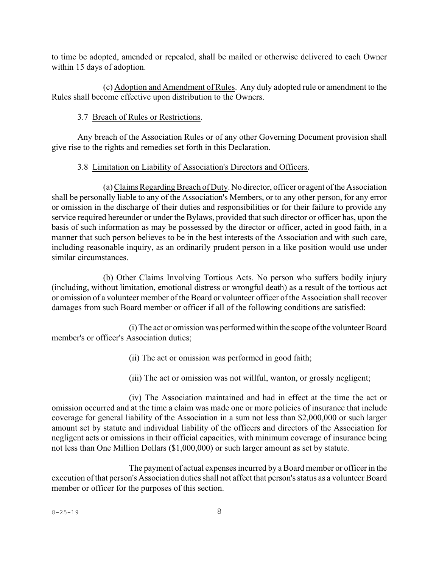to time be adopted, amended or repealed, shall be mailed or otherwise delivered to each Owner within 15 days of adoption.

(c) Adoption and Amendment of Rules. Any duly adopted rule or amendment to the Rules shall become effective upon distribution to the Owners.

## 3.7 Breach of Rules or Restrictions.

Any breach of the Association Rules or of any other Governing Document provision shall give rise to the rights and remedies set forth in this Declaration.

## 3.8 Limitation on Liability of Association's Directors and Officers.

(a)ClaimsRegarding Breach of Duty. No director, officer or agent of the Association shall be personally liable to any of the Association's Members, or to any other person, for any error or omission in the discharge of their duties and responsibilities or for their failure to provide any service required hereunder or under the Bylaws, provided that such director or officer has, upon the basis of such information as may be possessed by the director or officer, acted in good faith, in a manner that such person believes to be in the best interests of the Association and with such care, including reasonable inquiry, as an ordinarily prudent person in a like position would use under similar circumstances.

(b) Other Claims Involving Tortious Acts. No person who suffers bodily injury (including, without limitation, emotional distress or wrongful death) as a result of the tortious act or omission of a volunteer member of the Board or volunteer officer of the Association shall recover damages from such Board member or officer if all of the following conditions are satisfied:

(i) The act or omission was performedwithin the scope ofthe volunteer Board member's or officer's Association duties;

(ii) The act or omission was performed in good faith;

(iii) The act or omission was not willful, wanton, or grossly negligent;

(iv) The Association maintained and had in effect at the time the act or omission occurred and at the time a claim was made one or more policies of insurance that include coverage for general liability of the Association in a sum not less than \$2,000,000 or such larger amount set by statute and individual liability of the officers and directors of the Association for negligent acts or omissions in their official capacities, with minimum coverage of insurance being not less than One Million Dollars (\$1,000,000) or such larger amount as set by statute.

The payment of actual expenses incurred by a Board member or officer in the execution of that person's Association duties shall not affect that person's status as a volunteer Board member or officer for the purposes of this section.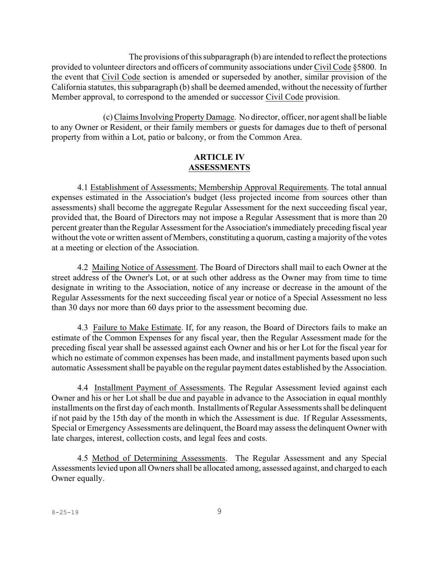The provisions of this subparagraph (b) are intended to reflect the protections provided to volunteer directors and officers of community associations under Civil Code §5800. In the event that Civil Code section is amended or superseded by another, similar provision of the California statutes, this subparagraph (b) shall be deemed amended, without the necessity of further Member approval, to correspond to the amended or successor Civil Code provision.

(c)Claims Involving Property Damage. No director, officer, nor agent shall be liable to any Owner or Resident, or their family members or guests for damages due to theft of personal property from within a Lot, patio or balcony, or from the Common Area.

### **ARTICLE IV ASSESSMENTS**

4.1 Establishment of Assessments; Membership Approval Requirements. The total annual expenses estimated in the Association's budget (less projected income from sources other than assessments) shall become the aggregate Regular Assessment for the next succeeding fiscal year, provided that, the Board of Directors may not impose a Regular Assessment that is more than 20 percent greater than the Regular Assessment for the Association's immediately preceding fiscal year without the vote or written assent of Members, constituting a quorum, casting a majority of the votes at a meeting or election of the Association.

4.2 Mailing Notice of Assessment. The Board of Directors shall mail to each Owner at the street address of the Owner's Lot, or at such other address as the Owner may from time to time designate in writing to the Association, notice of any increase or decrease in the amount of the Regular Assessments for the next succeeding fiscal year or notice of a Special Assessment no less than 30 days nor more than 60 days prior to the assessment becoming due.

4.3 Failure to Make Estimate. If, for any reason, the Board of Directors fails to make an estimate of the Common Expenses for any fiscal year, then the Regular Assessment made for the preceding fiscal year shall be assessed against each Owner and his or her Lot for the fiscal year for which no estimate of common expenses has been made, and installment payments based upon such automatic Assessment shall be payable on the regular payment dates established by the Association.

4.4 Installment Payment of Assessments. The Regular Assessment levied against each Owner and his or her Lot shall be due and payable in advance to the Association in equal monthly installments on the first day of each month. Installments of Regular Assessments shall be delinquent if not paid by the 15th day of the month in which the Assessment is due. If Regular Assessments, Special or Emergency Assessments are delinquent, the Board may assessthe delinquent Owner with late charges, interest, collection costs, and legal fees and costs.

4.5 Method of Determining Assessments. The Regular Assessment and any Special Assessments levied upon all Owners shall be allocated among, assessed against, and charged to each Owner equally.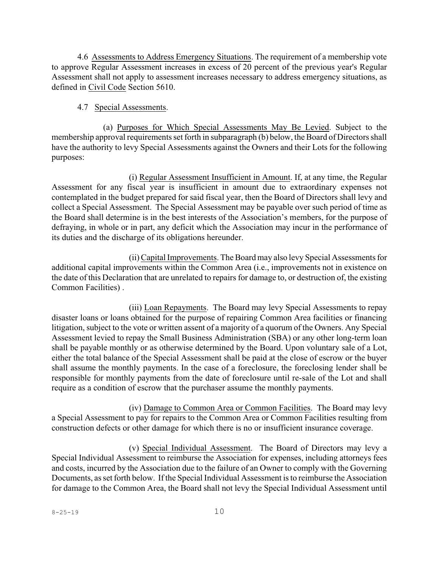4.6 Assessments to Address Emergency Situations. The requirement of a membership vote to approve Regular Assessment increases in excess of 20 percent of the previous year's Regular Assessment shall not apply to assessment increases necessary to address emergency situations, as defined in Civil Code Section 5610.

### 4.7 Special Assessments.

(a) Purposes for Which Special Assessments May Be Levied. Subject to the membership approval requirements set forth in subparagraph (b) below, the Board of Directors shall have the authority to levy Special Assessments against the Owners and their Lots for the following purposes:

(i) Regular Assessment Insufficient in Amount. If, at any time, the Regular Assessment for any fiscal year is insufficient in amount due to extraordinary expenses not contemplated in the budget prepared for said fiscal year, then the Board of Directors shall levy and collect a Special Assessment. The Special Assessment may be payable over such period of time as the Board shall determine is in the best interests of the Association's members, for the purpose of defraying, in whole or in part, any deficit which the Association may incur in the performance of its duties and the discharge of its obligations hereunder.

(ii) Capital Improvements. The Board may also levy Special Assessments for additional capital improvements within the Common Area (i.e., improvements not in existence on the date of this Declaration that are unrelated to repairs for damage to, or destruction of, the existing Common Facilities) .

(iii) Loan Repayments. The Board may levy Special Assessments to repay disaster loans or loans obtained for the purpose of repairing Common Area facilities or financing litigation, subject to the vote or written assent of a majority of a quorum of the Owners. Any Special Assessment levied to repay the Small Business Administration (SBA) or any other long-term loan shall be payable monthly or as otherwise determined by the Board. Upon voluntary sale of a Lot, either the total balance of the Special Assessment shall be paid at the close of escrow or the buyer shall assume the monthly payments. In the case of a foreclosure, the foreclosing lender shall be responsible for monthly payments from the date of foreclosure until re-sale of the Lot and shall require as a condition of escrow that the purchaser assume the monthly payments.

(iv) Damage to Common Area or Common Facilities. The Board may levy a Special Assessment to pay for repairs to the Common Area or Common Facilities resulting from construction defects or other damage for which there is no or insufficient insurance coverage.

(v) Special Individual Assessment. The Board of Directors may levy a Special Individual Assessment to reimburse the Association for expenses, including attorneys fees and costs, incurred by the Association due to the failure of an Owner to comply with the Governing Documents, as set forth below. If the Special Individual Assessment is to reimburse the Association for damage to the Common Area, the Board shall not levy the Special Individual Assessment until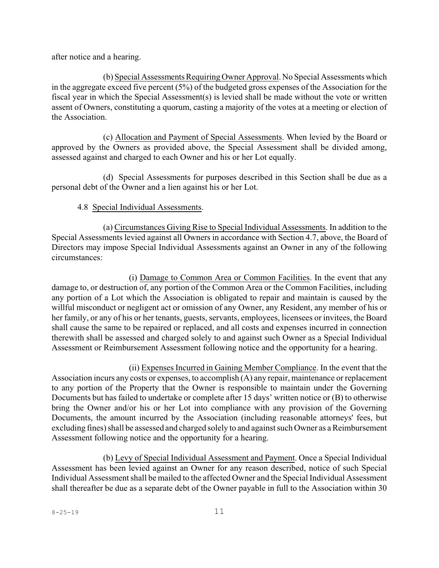after notice and a hearing.

(b) Special Assessments Requiring Owner Approval. No Special Assessments which in the aggregate exceed five percent (5%) of the budgeted gross expenses of the Association for the fiscal year in which the Special Assessment(s) is levied shall be made without the vote or written assent of Owners, constituting a quorum, casting a majority of the votes at a meeting or election of the Association.

(c) Allocation and Payment of Special Assessments. When levied by the Board or approved by the Owners as provided above, the Special Assessment shall be divided among, assessed against and charged to each Owner and his or her Lot equally.

(d) Special Assessments for purposes described in this Section shall be due as a personal debt of the Owner and a lien against his or her Lot.

## 4.8 Special Individual Assessments.

(a) Circumstances Giving Rise to Special Individual Assessments. In addition to the Special Assessments levied against all Owners in accordance with Section 4.7, above, the Board of Directors may impose Special Individual Assessments against an Owner in any of the following circumstances:

(i) Damage to Common Area or Common Facilities. In the event that any damage to, or destruction of, any portion of the Common Area or the Common Facilities, including any portion of a Lot which the Association is obligated to repair and maintain is caused by the willful misconduct or negligent act or omission of any Owner, any Resident, any member of his or her family, or any of his or her tenants, guests, servants, employees, licensees or invitees, the Board shall cause the same to be repaired or replaced, and all costs and expenses incurred in connection therewith shall be assessed and charged solely to and against such Owner as a Special Individual Assessment or Reimbursement Assessment following notice and the opportunity for a hearing.

(ii) Expenses Incurred in Gaining Member Compliance. In the event that the Association incurs any costs or expenses, to accomplish (A) any repair, maintenance or replacement to any portion of the Property that the Owner is responsible to maintain under the Governing Documents but has failed to undertake or complete after 15 days' written notice or (B) to otherwise bring the Owner and/or his or her Lot into compliance with any provision of the Governing Documents, the amount incurred by the Association (including reasonable attorneys' fees, but excluding fines) shall be assessed and charged solely to and against such Owner as a Reimbursement Assessment following notice and the opportunity for a hearing.

(b) Levy of Special Individual Assessment and Payment. Once a Special Individual Assessment has been levied against an Owner for any reason described, notice of such Special Individual Assessment shall be mailed to the affected Owner and the Special Individual Assessment shall thereafter be due as a separate debt of the Owner payable in full to the Association within 30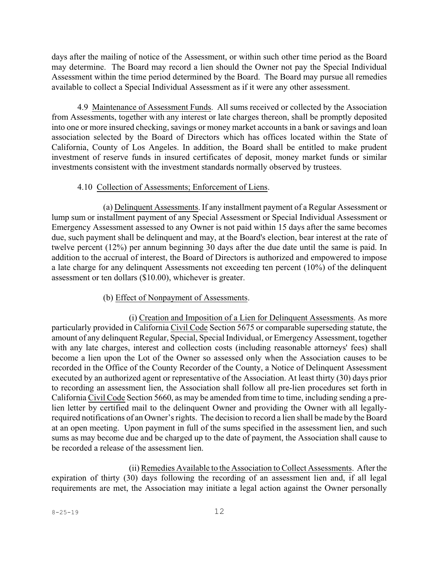days after the mailing of notice of the Assessment, or within such other time period as the Board may determine. The Board may record a lien should the Owner not pay the Special Individual Assessment within the time period determined by the Board. The Board may pursue all remedies available to collect a Special Individual Assessment as if it were any other assessment.

4.9 Maintenance of Assessment Funds. All sums received or collected by the Association from Assessments, together with any interest or late charges thereon, shall be promptly deposited into one or more insured checking, savings or money market accounts in a bank or savings and loan association selected by the Board of Directors which has offices located within the State of California, County of Los Angeles. In addition, the Board shall be entitled to make prudent investment of reserve funds in insured certificates of deposit, money market funds or similar investments consistent with the investment standards normally observed by trustees.

## 4.10 Collection of Assessments; Enforcement of Liens.

(a) Delinquent Assessments. If any installment payment of a Regular Assessment or lump sum or installment payment of any Special Assessment or Special Individual Assessment or Emergency Assessment assessed to any Owner is not paid within 15 days after the same becomes due, such payment shall be delinquent and may, at the Board's election, bear interest at the rate of twelve percent (12%) per annum beginning 30 days after the due date until the same is paid. In addition to the accrual of interest, the Board of Directors is authorized and empowered to impose a late charge for any delinquent Assessments not exceeding ten percent (10%) of the delinquent assessment or ten dollars (\$10.00), whichever is greater.

## (b) Effect of Nonpayment of Assessments.

(i) Creation and Imposition of a Lien for Delinquent Assessments. As more particularly provided in California Civil Code Section 5675 or comparable superseding statute, the amount of any delinquent Regular, Special, Special Individual, or Emergency Assessment, together with any late charges, interest and collection costs (including reasonable attorneys' fees) shall become a lien upon the Lot of the Owner so assessed only when the Association causes to be recorded in the Office of the County Recorder of the County, a Notice of Delinquent Assessment executed by an authorized agent or representative of the Association. At least thirty (30) days prior to recording an assessment lien, the Association shall follow all pre-lien procedures set forth in California Civil Code Section 5660, as may be amended from time to time, including sending a prelien letter by certified mail to the delinquent Owner and providing the Owner with all legallyrequired notifications of an Owner's rights. The decision to record a lien shall be made by the Board at an open meeting. Upon payment in full of the sums specified in the assessment lien, and such sums as may become due and be charged up to the date of payment, the Association shall cause to be recorded a release of the assessment lien.

(ii) Remedies Available to the Association to Collect Assessments. After the expiration of thirty (30) days following the recording of an assessment lien and, if all legal requirements are met, the Association may initiate a legal action against the Owner personally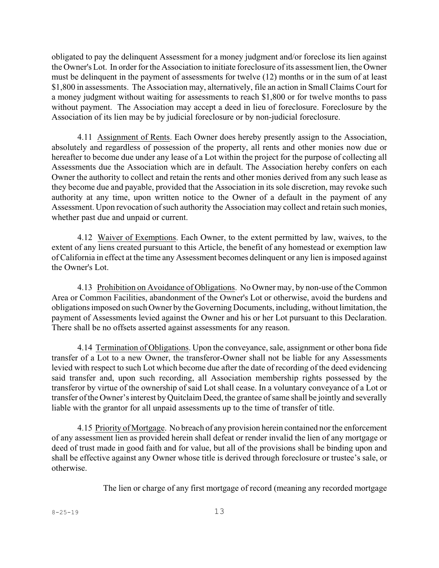obligated to pay the delinquent Assessment for a money judgment and/or foreclose its lien against the Owner's Lot. In order for the Association to initiate foreclosure of its assessment lien, the Owner must be delinquent in the payment of assessments for twelve (12) months or in the sum of at least \$1,800 in assessments. The Association may, alternatively, file an action in Small Claims Court for a money judgment without waiting for assessments to reach \$1,800 or for twelve months to pass without payment. The Association may accept a deed in lieu of foreclosure. Foreclosure by the Association of its lien may be by judicial foreclosure or by non-judicial foreclosure.

4.11 Assignment of Rents. Each Owner does hereby presently assign to the Association, absolutely and regardless of possession of the property, all rents and other monies now due or hereafter to become due under any lease of a Lot within the project for the purpose of collecting all Assessments due the Association which are in default. The Association hereby confers on each Owner the authority to collect and retain the rents and other monies derived from any such lease as they become due and payable, provided that the Association in its sole discretion, may revoke such authority at any time, upon written notice to the Owner of a default in the payment of any Assessment. Upon revocation of such authority the Association may collect and retain such monies, whether past due and unpaid or current.

4.12 Waiver of Exemptions. Each Owner, to the extent permitted by law, waives, to the extent of any liens created pursuant to this Article, the benefit of any homestead or exemption law of California in effect at the time any Assessment becomes delinquent or any lien is imposed against the Owner's Lot.

4.13 Prohibition on Avoidance of Obligations. No Owner may, by non-use of the Common Area or Common Facilities, abandonment of the Owner's Lot or otherwise, avoid the burdens and obligationsimposed on such Owner by the Governing Documents, including, without limitation, the payment of Assessments levied against the Owner and his or her Lot pursuant to this Declaration. There shall be no offsets asserted against assessments for any reason.

4.14 Termination of Obligations. Upon the conveyance, sale, assignment or other bona fide transfer of a Lot to a new Owner, the transferor-Owner shall not be liable for any Assessments levied with respect to such Lot which become due after the date of recording of the deed evidencing said transfer and, upon such recording, all Association membership rights possessed by the transferor by virtue of the ownership of said Lot shall cease. In a voluntary conveyance of a Lot or transfer ofthe Owner's interest by Quitclaim Deed, the grantee of same shall be jointly and severally liable with the grantor for all unpaid assessments up to the time of transfer of title.

4.15 Priority of Mortgage. No breach of any provision herein contained nor the enforcement of any assessment lien as provided herein shall defeat or render invalid the lien of any mortgage or deed of trust made in good faith and for value, but all of the provisions shall be binding upon and shall be effective against any Owner whose title is derived through foreclosure or trustee's sale, or otherwise.

The lien or charge of any first mortgage of record (meaning any recorded mortgage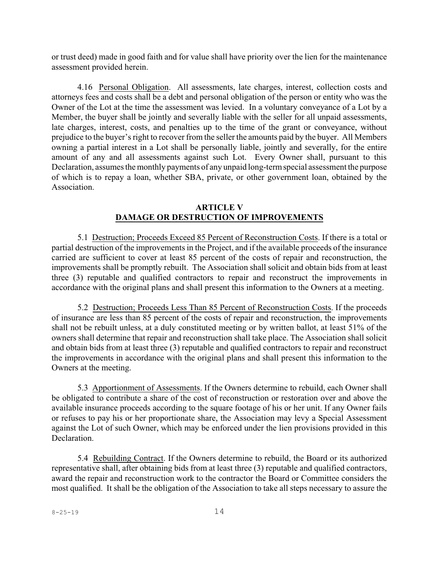or trust deed) made in good faith and for value shall have priority over the lien for the maintenance assessment provided herein.

4.16 Personal Obligation. All assessments, late charges, interest, collection costs and attorneys fees and costs shall be a debt and personal obligation of the person or entity who was the Owner of the Lot at the time the assessment was levied. In a voluntary conveyance of a Lot by a Member, the buyer shall be jointly and severally liable with the seller for all unpaid assessments, late charges, interest, costs, and penalties up to the time of the grant or conveyance, without prejudice to the buyer's right to recover from the seller the amounts paid by the buyer. All Members owning a partial interest in a Lot shall be personally liable, jointly and severally, for the entire amount of any and all assessments against such Lot. Every Owner shall, pursuant to this Declaration, assumes the monthly payments of any unpaid long-termspecial assessment the purpose of which is to repay a loan, whether SBA, private, or other government loan, obtained by the Association.

### **ARTICLE V DAMAGE OR DESTRUCTION OF IMPROVEMENTS**

5.1 Destruction; Proceeds Exceed 85 Percent of Reconstruction Costs. If there is a total or partial destruction of the improvements in the Project, and if the available proceeds of the insurance carried are sufficient to cover at least 85 percent of the costs of repair and reconstruction, the improvements shall be promptly rebuilt. The Association shall solicit and obtain bids from at least three (3) reputable and qualified contractors to repair and reconstruct the improvements in accordance with the original plans and shall present this information to the Owners at a meeting.

5.2 Destruction; Proceeds Less Than 85 Percent of Reconstruction Costs. If the proceeds of insurance are less than 85 percent of the costs of repair and reconstruction, the improvements shall not be rebuilt unless, at a duly constituted meeting or by written ballot, at least 51% of the owners shall determine that repair and reconstruction shall take place. The Association shall solicit and obtain bids from at least three (3) reputable and qualified contractors to repair and reconstruct the improvements in accordance with the original plans and shall present this information to the Owners at the meeting.

5.3 Apportionment of Assessments. If the Owners determine to rebuild, each Owner shall be obligated to contribute a share of the cost of reconstruction or restoration over and above the available insurance proceeds according to the square footage of his or her unit. If any Owner fails or refuses to pay his or her proportionate share, the Association may levy a Special Assessment against the Lot of such Owner, which may be enforced under the lien provisions provided in this Declaration.

5.4 Rebuilding Contract. If the Owners determine to rebuild, the Board or its authorized representative shall, after obtaining bids from at least three (3) reputable and qualified contractors, award the repair and reconstruction work to the contractor the Board or Committee considers the most qualified. It shall be the obligation of the Association to take all steps necessary to assure the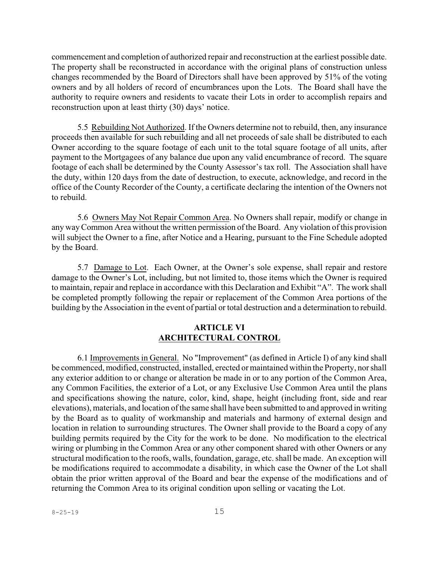commencement and completion of authorized repair and reconstruction at the earliest possible date. The property shall be reconstructed in accordance with the original plans of construction unless changes recommended by the Board of Directors shall have been approved by 51% of the voting owners and by all holders of record of encumbrances upon the Lots. The Board shall have the authority to require owners and residents to vacate their Lots in order to accomplish repairs and reconstruction upon at least thirty (30) days' notice.

5.5 Rebuilding Not Authorized. If the Owners determine not to rebuild, then, any insurance proceeds then available for such rebuilding and all net proceeds of sale shall be distributed to each Owner according to the square footage of each unit to the total square footage of all units, after payment to the Mortgagees of any balance due upon any valid encumbrance of record. The square footage of each shall be determined by the County Assessor's tax roll. The Association shall have the duty, within 120 days from the date of destruction, to execute, acknowledge, and record in the office of the County Recorder of the County, a certificate declaring the intention of the Owners not to rebuild.

5.6 Owners May Not Repair Common Area. No Owners shall repair, modify or change in any way Common Area without the written permission of the Board. Any violation of this provision will subject the Owner to a fine, after Notice and a Hearing, pursuant to the Fine Schedule adopted by the Board.

5.7 Damage to Lot. Each Owner, at the Owner's sole expense, shall repair and restore damage to the Owner's Lot, including, but not limited to, those items which the Owner is required to maintain, repair and replace in accordance with this Declaration and Exhibit "A". The work shall be completed promptly following the repair or replacement of the Common Area portions of the building by the Association in the event of partial or total destruction and a determination to rebuild.

### **ARTICLE VI ARCHITECTURAL CONTROL**

6.1 Improvements in General. No "Improvement" (as defined in Article I) of any kind shall be commenced, modified, constructed, installed, erected or maintained within the Property, nor shall any exterior addition to or change or alteration be made in or to any portion of the Common Area, any Common Facilities, the exterior of a Lot, or any Exclusive Use Common Area until the plans and specifications showing the nature, color, kind, shape, height (including front, side and rear elevations), materials, and location ofthe same shall have been submitted to and approved in writing by the Board as to quality of workmanship and materials and harmony of external design and location in relation to surrounding structures. The Owner shall provide to the Board a copy of any building permits required by the City for the work to be done. No modification to the electrical wiring or plumbing in the Common Area or any other component shared with other Owners or any structural modification to the roofs, walls, foundation, garage, etc. shall be made. An exception will be modifications required to accommodate a disability, in which case the Owner of the Lot shall obtain the prior written approval of the Board and bear the expense of the modifications and of returning the Common Area to its original condition upon selling or vacating the Lot.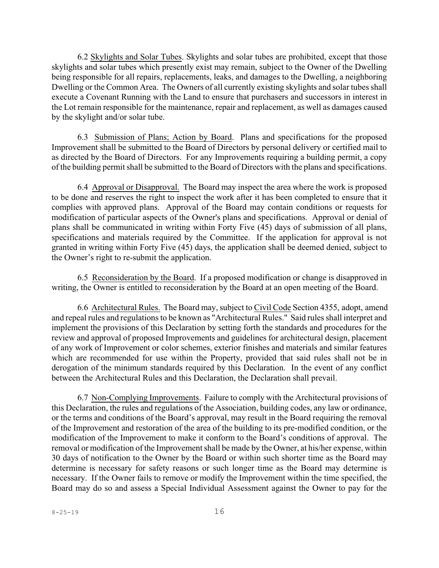6.2 Skylights and Solar Tubes. Skylights and solar tubes are prohibited, except that those skylights and solar tubes which presently exist may remain, subject to the Owner of the Dwelling being responsible for all repairs, replacements, leaks, and damages to the Dwelling, a neighboring Dwelling or the Common Area. The Owners of all currently existing skylights and solar tubes shall execute a Covenant Running with the Land to ensure that purchasers and successors in interest in the Lot remain responsible for the maintenance, repair and replacement, as well as damages caused by the skylight and/or solar tube.

6.3 Submission of Plans; Action by Board. Plans and specifications for the proposed Improvement shall be submitted to the Board of Directors by personal delivery or certified mail to as directed by the Board of Directors. For any Improvements requiring a building permit, a copy of the building permit shall be submitted to the Board of Directors with the plans and specifications.

6.4 Approval or Disapproval. The Board may inspect the area where the work is proposed to be done and reserves the right to inspect the work after it has been completed to ensure that it complies with approved plans. Approval of the Board may contain conditions or requests for modification of particular aspects of the Owner's plans and specifications. Approval or denial of plans shall be communicated in writing within Forty Five (45) days of submission of all plans, specifications and materials required by the Committee. If the application for approval is not granted in writing within Forty Five (45) days, the application shall be deemed denied, subject to the Owner's right to re-submit the application.

6.5 Reconsideration by the Board. If a proposed modification or change is disapproved in writing, the Owner is entitled to reconsideration by the Board at an open meeting of the Board.

6.6 Architectural Rules. The Board may, subject to Civil Code Section 4355, adopt, amend and repeal rules and regulations to be known as "Architectural Rules." Said rules shall interpret and implement the provisions of this Declaration by setting forth the standards and procedures for the review and approval of proposed Improvements and guidelines for architectural design, placement of any work of Improvement or color schemes, exterior finishes and materials and similar features which are recommended for use within the Property, provided that said rules shall not be in derogation of the minimum standards required by this Declaration. In the event of any conflict between the Architectural Rules and this Declaration, the Declaration shall prevail.

6.7 Non-Complying Improvements. Failure to comply with the Architectural provisions of this Declaration, the rules and regulations of the Association, building codes, any law or ordinance, or the terms and conditions of the Board's approval, may result in the Board requiring the removal of the Improvement and restoration of the area of the building to its pre-modified condition, or the modification of the Improvement to make it conform to the Board's conditions of approval. The removal or modification of the Improvement shall be made by the Owner, at his/her expense, within 30 days of notification to the Owner by the Board or within such shorter time as the Board may determine is necessary for safety reasons or such longer time as the Board may determine is necessary. If the Owner fails to remove or modify the Improvement within the time specified, the Board may do so and assess a Special Individual Assessment against the Owner to pay for the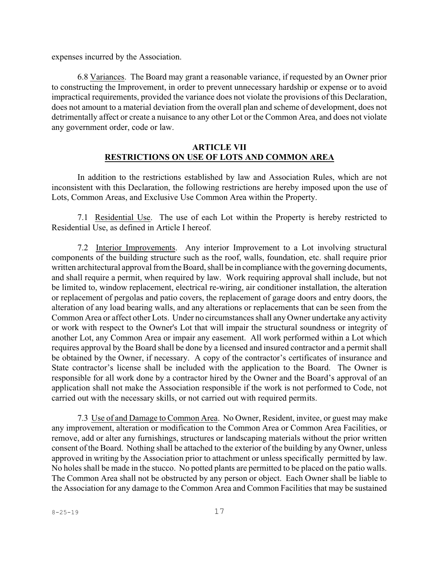expenses incurred by the Association.

6.8 Variances. The Board may grant a reasonable variance, if requested by an Owner prior to constructing the Improvement, in order to prevent unnecessary hardship or expense or to avoid impractical requirements, provided the variance does not violate the provisions of this Declaration, does not amount to a material deviation from the overall plan and scheme of development, does not detrimentally affect or create a nuisance to any other Lot or the Common Area, and does not violate any government order, code or law.

### **ARTICLE VII RESTRICTIONS ON USE OF LOTS AND COMMON AREA**

In addition to the restrictions established by law and Association Rules, which are not inconsistent with this Declaration, the following restrictions are hereby imposed upon the use of Lots, Common Areas, and Exclusive Use Common Area within the Property.

7.1 Residential Use. The use of each Lot within the Property is hereby restricted to Residential Use, as defined in Article I hereof.

7.2 Interior Improvements. Any interior Improvement to a Lot involving structural components of the building structure such as the roof, walls, foundation, etc. shall require prior written architectural approval fromthe Board, shall be in compliance with the governing documents, and shall require a permit, when required by law. Work requiring approval shall include, but not be limited to, window replacement, electrical re-wiring, air conditioner installation, the alteration or replacement of pergolas and patio covers, the replacement of garage doors and entry doors, the alteration of any load bearing walls, and any alterations or replacements that can be seen from the Common Area or affect other Lots. Under no circumstances shall any Owner undertake any activity or work with respect to the Owner's Lot that will impair the structural soundness or integrity of another Lot, any Common Area or impair any easement. All work performed within a Lot which requires approval by the Board shall be done by a licensed and insured contractor and a permit shall be obtained by the Owner, if necessary. A copy of the contractor's certificates of insurance and State contractor's license shall be included with the application to the Board. The Owner is responsible for all work done by a contractor hired by the Owner and the Board's approval of an application shall not make the Association responsible if the work is not performed to Code, not carried out with the necessary skills, or not carried out with required permits.

7.3 Use of and Damage to Common Area. No Owner, Resident, invitee, or guest may make any improvement, alteration or modification to the Common Area or Common Area Facilities, or remove, add or alter any furnishings, structures or landscaping materials without the prior written consent of the Board. Nothing shall be attached to the exterior of the building by any Owner, unless approved in writing by the Association prior to attachment or unless specifically permitted by law. No holes shall be made in the stucco. No potted plants are permitted to be placed on the patio walls. The Common Area shall not be obstructed by any person or object. Each Owner shall be liable to the Association for any damage to the Common Area and Common Facilities that may be sustained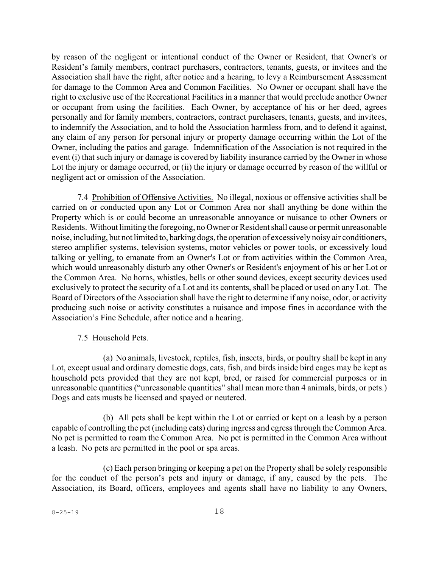by reason of the negligent or intentional conduct of the Owner or Resident, that Owner's or Resident's family members, contract purchasers, contractors, tenants, guests, or invitees and the Association shall have the right, after notice and a hearing, to levy a Reimbursement Assessment for damage to the Common Area and Common Facilities. No Owner or occupant shall have the right to exclusive use of the Recreational Facilities in a manner that would preclude another Owner or occupant from using the facilities. Each Owner, by acceptance of his or her deed, agrees personally and for family members, contractors, contract purchasers, tenants, guests, and invitees, to indemnify the Association, and to hold the Association harmless from, and to defend it against, any claim of any person for personal injury or property damage occurring within the Lot of the Owner, including the patios and garage. Indemnification of the Association is not required in the event (i) that such injury or damage is covered by liability insurance carried by the Owner in whose Lot the injury or damage occurred, or (ii) the injury or damage occurred by reason of the willful or negligent act or omission of the Association.

7.4 Prohibition of Offensive Activities. No illegal, noxious or offensive activities shall be carried on or conducted upon any Lot or Common Area nor shall anything be done within the Property which is or could become an unreasonable annoyance or nuisance to other Owners or Residents. Without limiting the foregoing, no Owner or Resident shall cause or permit unreasonable noise, including, but not limited to, barking dogs, the operation of excessively noisy air conditioners, stereo amplifier systems, television systems, motor vehicles or power tools, or excessively loud talking or yelling, to emanate from an Owner's Lot or from activities within the Common Area, which would unreasonably disturb any other Owner's or Resident's enjoyment of his or her Lot or the Common Area. No horns, whistles, bells or other sound devices, except security devices used exclusively to protect the security of a Lot and its contents, shall be placed or used on any Lot. The Board of Directors of the Association shall have the right to determine if any noise, odor, or activity producing such noise or activity constitutes a nuisance and impose fines in accordance with the Association's Fine Schedule, after notice and a hearing.

#### 7.5 Household Pets.

(a) No animals, livestock, reptiles, fish, insects, birds, or poultry shall be kept in any Lot, except usual and ordinary domestic dogs, cats, fish, and birds inside bird cages may be kept as household pets provided that they are not kept, bred, or raised for commercial purposes or in unreasonable quantities ("unreasonable quantities" shall mean more than 4 animals, birds, or pets.) Dogs and cats musts be licensed and spayed or neutered.

(b) All pets shall be kept within the Lot or carried or kept on a leash by a person capable of controlling the pet (including cats) during ingress and egress through the Common Area. No pet is permitted to roam the Common Area. No pet is permitted in the Common Area without a leash. No pets are permitted in the pool or spa areas.

(c) Each person bringing or keeping a pet on the Property shall be solely responsible for the conduct of the person's pets and injury or damage, if any, caused by the pets. The Association, its Board, officers, employees and agents shall have no liability to any Owners,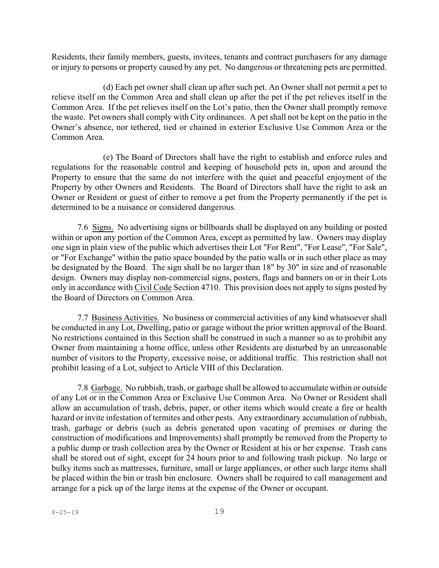Residents, their family members, guests, invitees, tenants and contract purchasers for any damage or injury to persons or property caused by any pet. No dangerous or threatening pets are permitted.

(d) Each pet owner shall clean up after such pet. An Owner shall not permit a pet to relieve itself on the Common Area and shall clean up after the pet if the pet relieves itself in the Common Area. If the pet relieves itself on the Lot's patio, then the Owner shall promptly remove the waste. Pet owners shall comply with City ordinances. A pet shall not be kept on the patio in the Owner's absence, nor tethered, tied or chained in exterior Exclusive Use Common Area or the Common Area.

(e) The Board of Directors shall have the right to establish and enforce rules and regulations for the reasonable control and keeping of household pets in, upon and around the Property to ensure that the same do not interfere with the quiet and peaceful enjoyment of the Property by other Owners and Residents. The Board of Directors shall have the right to ask an Owner or Resident or guest of either to remove a pet from the Property permanently if the pet is determined to be a nuisance or considered dangerous.

7.6 Signs. No advertising signs or billboards shall be displayed on any building or posted within or upon any portion of the Common Area, except as permitted by law. Owners may display one sign in plain view of the public which advertises their Lot "For Rent", "For Lease", "For Sale", or "For Exchange" within the patio space bounded by the patio walls or in such other place as may be designated by the Board. The sign shall be no larger than 18" by 30" in size and of reasonable design. Owners may display non-commercial signs, posters, flags and banners on or in their Lots only in accordance with Civil Code Section 4710. This provision does not apply to signs posted by the Board of Directors on Common Area.

7.7 Business Activities. No business or commercial activities of any kind whatsoever shall be conducted in any Lot, Dwelling, patio or garage without the prior written approval of the Board. No restrictions contained in this Section shall be construed in such a manner so as to prohibit any Owner from maintaining a home office, unless other Residents are disturbed by an unreasonable number of visitors to the Property, excessive noise, or additional traffic. This restriction shall not prohibit leasing of a Lot, subject to Article VIII of this Declaration.

7.8 Garbage. No rubbish, trash, or garbage shall be allowed to accumulate within or outside of any Lot or in the Common Area or Exclusive Use Common Area. No Owner or Resident shall allow an accumulation of trash, debris, paper, or other items which would create a fire or health hazard or invite infestation of termites and other pests. Any extraordinary accumulation of rubbish, trash, garbage or debris (such as debris generated upon vacating of premises or during the construction of modifications and Improvements) shall promptly be removed from the Property to a public dump or trash collection area by the Owner or Resident at his or her expense. Trash cans shall be stored out of sight, except for 24 hours prior to and following trash pickup. No large or bulky items such as mattresses, furniture, small or large appliances, or other such large items shall be placed within the bin or trash bin enclosure. Owners shall be required to call management and arrange for a pick up of the large items at the expense of the Owner or occupant.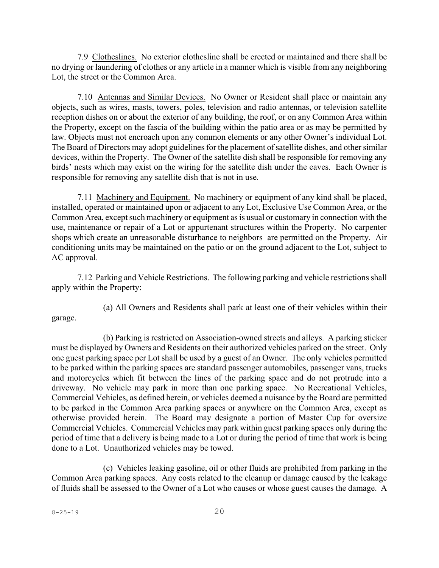7.9 Clotheslines. No exterior clothesline shall be erected or maintained and there shall be no drying or laundering of clothes or any article in a manner which is visible from any neighboring Lot, the street or the Common Area.

7.10 Antennas and Similar Devices. No Owner or Resident shall place or maintain any objects, such as wires, masts, towers, poles, television and radio antennas, or television satellite reception dishes on or about the exterior of any building, the roof, or on any Common Area within the Property, except on the fascia of the building within the patio area or as may be permitted by law. Objects must not encroach upon any common elements or any other Owner's individual Lot. The Board of Directors may adopt guidelines for the placement of satellite dishes, and other similar devices, within the Property. The Owner of the satellite dish shall be responsible for removing any birds' nests which may exist on the wiring for the satellite dish under the eaves. Each Owner is responsible for removing any satellite dish that is not in use.

7.11 Machinery and Equipment. No machinery or equipment of any kind shall be placed, installed, operated or maintained upon or adjacent to any Lot, Exclusive Use Common Area, or the Common Area, except such machinery or equipment as is usual or customary in connection with the use, maintenance or repair of a Lot or appurtenant structures within the Property. No carpenter shops which create an unreasonable disturbance to neighbors are permitted on the Property. Air conditioning units may be maintained on the patio or on the ground adjacent to the Lot, subject to AC approval.

7.12 Parking and Vehicle Restrictions. The following parking and vehicle restrictions shall apply within the Property:

garage.

(a) All Owners and Residents shall park at least one of their vehicles within their

(b) Parking is restricted on Association-owned streets and alleys. A parking sticker must be displayed by Owners and Residents on their authorized vehicles parked on the street. Only one guest parking space per Lot shall be used by a guest of an Owner. The only vehicles permitted to be parked within the parking spaces are standard passenger automobiles, passenger vans, trucks and motorcycles which fit between the lines of the parking space and do not protrude into a driveway. No vehicle may park in more than one parking space. No Recreational Vehicles, Commercial Vehicles, as defined herein, or vehicles deemed a nuisance by the Board are permitted to be parked in the Common Area parking spaces or anywhere on the Common Area, except as otherwise provided herein. The Board may designate a portion of Master Cup for oversize Commercial Vehicles. Commercial Vehicles may park within guest parking spaces only during the period of time that a delivery is being made to a Lot or during the period of time that work is being done to a Lot. Unauthorized vehicles may be towed.

(c) Vehicles leaking gasoline, oil or other fluids are prohibited from parking in the Common Area parking spaces. Any costs related to the cleanup or damage caused by the leakage of fluids shall be assessed to the Owner of a Lot who causes or whose guest causes the damage. A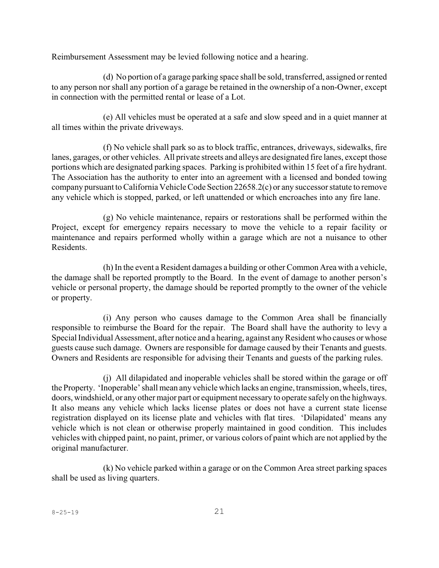Reimbursement Assessment may be levied following notice and a hearing.

(d) No portion of a garage parking space shall be sold, transferred, assigned or rented to any person nor shall any portion of a garage be retained in the ownership of a non-Owner, except in connection with the permitted rental or lease of a Lot.

(e) All vehicles must be operated at a safe and slow speed and in a quiet manner at all times within the private driveways.

(f) No vehicle shall park so as to block traffic, entrances, driveways, sidewalks, fire lanes, garages, or other vehicles. All private streets and alleys are designated fire lanes, except those portions which are designated parking spaces. Parking is prohibited within 15 feet of a fire hydrant. The Association has the authority to enter into an agreement with a licensed and bonded towing company pursuant to California Vehicle Code Section 22658.2(c) or any successor statute to remove any vehicle which is stopped, parked, or left unattended or which encroaches into any fire lane.

(g) No vehicle maintenance, repairs or restorations shall be performed within the Project, except for emergency repairs necessary to move the vehicle to a repair facility or maintenance and repairs performed wholly within a garage which are not a nuisance to other Residents.

(h) In the event a Resident damages a building or other Common Area with a vehicle, the damage shall be reported promptly to the Board. In the event of damage to another person's vehicle or personal property, the damage should be reported promptly to the owner of the vehicle or property.

(i) Any person who causes damage to the Common Area shall be financially responsible to reimburse the Board for the repair. The Board shall have the authority to levy a Special Individual Assessment, after notice and a hearing, against any Resident who causes or whose guests cause such damage. Owners are responsible for damage caused by their Tenants and guests. Owners and Residents are responsible for advising their Tenants and guests of the parking rules.

(j) All dilapidated and inoperable vehicles shall be stored within the garage or off the Property. 'Inoperable' shall mean any vehicle which lacks an engine, transmission, wheels, tires, doors, windshield, or any other major part or equipment necessary to operate safely on the highways. It also means any vehicle which lacks license plates or does not have a current state license registration displayed on its license plate and vehicles with flat tires. 'Dilapidated' means any vehicle which is not clean or otherwise properly maintained in good condition. This includes vehicles with chipped paint, no paint, primer, or various colors of paint which are not applied by the original manufacturer.

(k) No vehicle parked within a garage or on the Common Area street parking spaces shall be used as living quarters.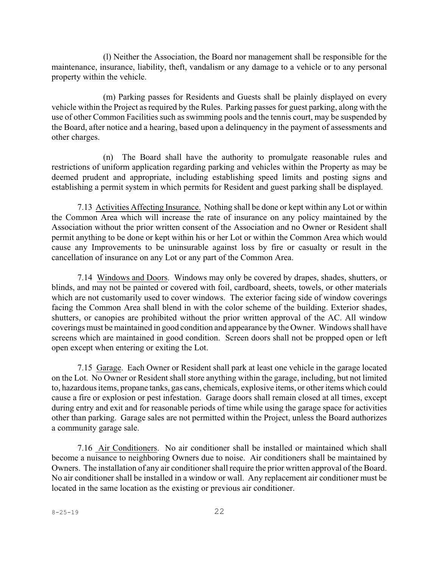(l) Neither the Association, the Board nor management shall be responsible for the maintenance, insurance, liability, theft, vandalism or any damage to a vehicle or to any personal property within the vehicle.

(m) Parking passes for Residents and Guests shall be plainly displayed on every vehicle within the Project as required by the Rules. Parking passes for guest parking, along with the use of other Common Facilities such as swimming pools and the tennis court, may be suspended by the Board, after notice and a hearing, based upon a delinquency in the payment of assessments and other charges.

(n) The Board shall have the authority to promulgate reasonable rules and restrictions of uniform application regarding parking and vehicles within the Property as may be deemed prudent and appropriate, including establishing speed limits and posting signs and establishing a permit system in which permits for Resident and guest parking shall be displayed.

7.13 Activities Affecting Insurance. Nothing shall be done or kept within any Lot or within the Common Area which will increase the rate of insurance on any policy maintained by the Association without the prior written consent of the Association and no Owner or Resident shall permit anything to be done or kept within his or her Lot or within the Common Area which would cause any Improvements to be uninsurable against loss by fire or casualty or result in the cancellation of insurance on any Lot or any part of the Common Area.

7.14 Windows and Doors. Windows may only be covered by drapes, shades, shutters, or blinds, and may not be painted or covered with foil, cardboard, sheets, towels, or other materials which are not customarily used to cover windows. The exterior facing side of window coverings facing the Common Area shall blend in with the color scheme of the building. Exterior shades, shutters, or canopies are prohibited without the prior written approval of the AC. All window coverings must be maintained in good condition and appearance by the Owner. Windows shall have screens which are maintained in good condition. Screen doors shall not be propped open or left open except when entering or exiting the Lot.

7.15 Garage. Each Owner or Resident shall park at least one vehicle in the garage located on the Lot. No Owner or Resident shall store anything within the garage, including, but not limited to, hazardousitems, propane tanks, gas cans, chemicals, explosive items, or other items which could cause a fire or explosion or pest infestation. Garage doors shall remain closed at all times, except during entry and exit and for reasonable periods of time while using the garage space for activities other than parking. Garage sales are not permitted within the Project, unless the Board authorizes a community garage sale.

7.16 Air Conditioners. No air conditioner shall be installed or maintained which shall become a nuisance to neighboring Owners due to noise. Air conditioners shall be maintained by Owners. The installation of any air conditioner shall require the prior written approval of the Board. No air conditioner shall be installed in a window or wall. Any replacement air conditioner must be located in the same location as the existing or previous air conditioner.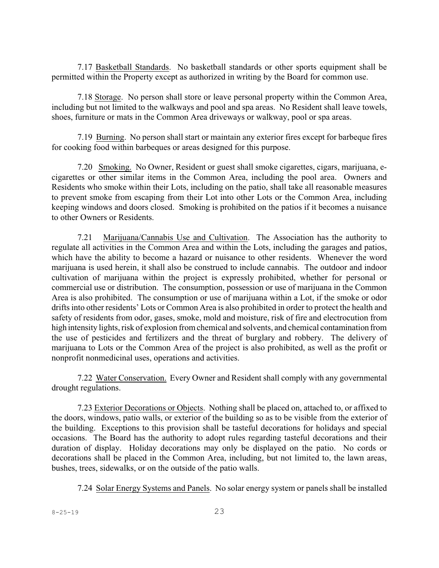7.17 Basketball Standards. No basketball standards or other sports equipment shall be permitted within the Property except as authorized in writing by the Board for common use.

7.18 Storage. No person shall store or leave personal property within the Common Area, including but not limited to the walkways and pool and spa areas. No Resident shall leave towels, shoes, furniture or mats in the Common Area driveways or walkway, pool or spa areas.

7.19 Burning. No person shall start or maintain any exterior fires except for barbeque fires for cooking food within barbeques or areas designed for this purpose.

7.20 Smoking. No Owner, Resident or guest shall smoke cigarettes, cigars, marijuana, ecigarettes or other similar items in the Common Area, including the pool area. Owners and Residents who smoke within their Lots, including on the patio, shall take all reasonable measures to prevent smoke from escaping from their Lot into other Lots or the Common Area, including keeping windows and doors closed. Smoking is prohibited on the patios if it becomes a nuisance to other Owners or Residents.

7.21 Marijuana/Cannabis Use and Cultivation. The Association has the authority to regulate all activities in the Common Area and within the Lots, including the garages and patios, which have the ability to become a hazard or nuisance to other residents. Whenever the word marijuana is used herein, it shall also be construed to include cannabis. The outdoor and indoor cultivation of marijuana within the project is expressly prohibited, whether for personal or commercial use or distribution. The consumption, possession or use of marijuana in the Common Area is also prohibited. The consumption or use of marijuana within a Lot, if the smoke or odor drifts into other residents' Lots or Common Area is also prohibited in order to protect the health and safety of residents from odor, gases, smoke, mold and moisture, risk of fire and electrocution from high intensity lights, risk of explosion fromchemical and solvents, and chemical contamination from the use of pesticides and fertilizers and the threat of burglary and robbery. The delivery of marijuana to Lots or the Common Area of the project is also prohibited, as well as the profit or nonprofit nonmedicinal uses, operations and activities.

7.22 Water Conservation. Every Owner and Resident shall comply with any governmental drought regulations.

7.23 Exterior Decorations or Objects. Nothing shall be placed on, attached to, or affixed to the doors, windows, patio walls, or exterior of the building so as to be visible from the exterior of the building. Exceptions to this provision shall be tasteful decorations for holidays and special occasions. The Board has the authority to adopt rules regarding tasteful decorations and their duration of display. Holiday decorations may only be displayed on the patio. No cords or decorations shall be placed in the Common Area, including, but not limited to, the lawn areas, bushes, trees, sidewalks, or on the outside of the patio walls.

7.24 Solar Energy Systems and Panels. No solar energy system or panels shall be installed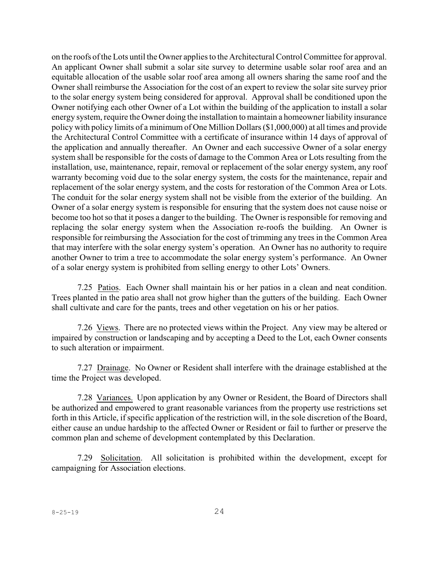on the roofs of the Lots until the Owner applies to the Architectural Control Committee for approval. An applicant Owner shall submit a solar site survey to determine usable solar roof area and an equitable allocation of the usable solar roof area among all owners sharing the same roof and the Owner shall reimburse the Association for the cost of an expert to review the solar site survey prior to the solar energy system being considered for approval. Approval shall be conditioned upon the Owner notifying each other Owner of a Lot within the building of the application to install a solar energy system, require the Owner doing the installation to maintain a homeowner liability insurance policy with policy limits of a minimum of One Million Dollars (\$1,000,000) at all times and provide the Architectural Control Committee with a certificate of insurance within 14 days of approval of the application and annually thereafter. An Owner and each successive Owner of a solar energy system shall be responsible for the costs of damage to the Common Area or Lots resulting from the installation, use, maintenance, repair, removal or replacement of the solar energy system, any roof warranty becoming void due to the solar energy system, the costs for the maintenance, repair and replacement of the solar energy system, and the costs for restoration of the Common Area or Lots. The conduit for the solar energy system shall not be visible from the exterior of the building. An Owner of a solar energy system is responsible for ensuring that the system does not cause noise or become too hot so that it poses a danger to the building. The Owner is responsible for removing and replacing the solar energy system when the Association re-roofs the building. An Owner is responsible for reimbursing the Association for the cost of trimming any trees in the Common Area that may interfere with the solar energy system's operation. An Owner has no authority to require another Owner to trim a tree to accommodate the solar energy system's performance. An Owner of a solar energy system is prohibited from selling energy to other Lots' Owners.

7.25 Patios. Each Owner shall maintain his or her patios in a clean and neat condition. Trees planted in the patio area shall not grow higher than the gutters of the building. Each Owner shall cultivate and care for the pants, trees and other vegetation on his or her patios.

7.26 Views. There are no protected views within the Project. Any view may be altered or impaired by construction or landscaping and by accepting a Deed to the Lot, each Owner consents to such alteration or impairment.

7.27 Drainage. No Owner or Resident shall interfere with the drainage established at the time the Project was developed.

7.28 Variances. Upon application by any Owner or Resident, the Board of Directors shall be authorized and empowered to grant reasonable variances from the property use restrictions set forth in this Article, if specific application of the restriction will, in the sole discretion of the Board, either cause an undue hardship to the affected Owner or Resident or fail to further or preserve the common plan and scheme of development contemplated by this Declaration.

7.29 Solicitation. All solicitation is prohibited within the development, except for campaigning for Association elections.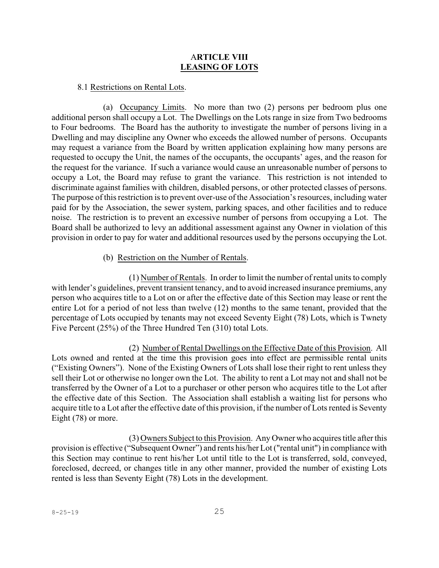### A**RTICLE VIII LEASING OF LOTS**

#### 8.1 Restrictions on Rental Lots.

(a) Occupancy Limits. No more than two (2) persons per bedroom plus one additional person shall occupy a Lot. The Dwellings on the Lots range in size from Two bedrooms to Four bedrooms. The Board has the authority to investigate the number of persons living in a Dwelling and may discipline any Owner who exceeds the allowed number of persons. Occupants may request a variance from the Board by written application explaining how many persons are requested to occupy the Unit, the names of the occupants, the occupants' ages, and the reason for the request for the variance. If such a variance would cause an unreasonable number of persons to occupy a Lot, the Board may refuse to grant the variance. This restriction is not intended to discriminate against families with children, disabled persons, or other protected classes of persons. The purpose of this restriction is to prevent over-use of the Association's resources, including water paid for by the Association, the sewer system, parking spaces, and other facilities and to reduce noise. The restriction is to prevent an excessive number of persons from occupying a Lot. The Board shall be authorized to levy an additional assessment against any Owner in violation of this provision in order to pay for water and additional resources used by the persons occupying the Lot.

### (b) Restriction on the Number of Rentals.

(1) Number of Rentals. In order to limit the number of rental units to comply with lender's guidelines, prevent transient tenancy, and to avoid increased insurance premiums, any person who acquires title to a Lot on or after the effective date of this Section may lease or rent the entire Lot for a period of not less than twelve (12) months to the same tenant, provided that the percentage of Lots occupied by tenants may not exceed Seventy Eight (78) Lots, which is Twnety Five Percent (25%) of the Three Hundred Ten (310) total Lots.

(2) Number of Rental Dwellings on the Effective Date of this Provision. All Lots owned and rented at the time this provision goes into effect are permissible rental units ("Existing Owners"). None of the Existing Owners of Lots shall lose their right to rent unless they sell their Lot or otherwise no longer own the Lot. The ability to rent a Lot may not and shall not be transferred by the Owner of a Lot to a purchaser or other person who acquires title to the Lot after the effective date of this Section. The Association shall establish a waiting list for persons who acquire title to a Lot after the effective date of this provision, if the number of Lots rented is Seventy Eight (78) or more.

(3) Owners Subject to this Provision. Any Owner who acquires title after this provision is effective ("Subsequent Owner") and rents his/her Lot("rental unit") in compliance with this Section may continue to rent his/her Lot until title to the Lot is transferred, sold, conveyed, foreclosed, decreed, or changes title in any other manner, provided the number of existing Lots rented is less than Seventy Eight (78) Lots in the development.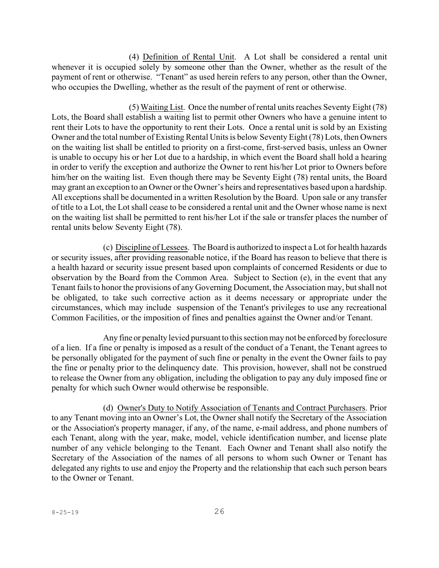(4) Definition of Rental Unit. A Lot shall be considered a rental unit whenever it is occupied solely by someone other than the Owner, whether as the result of the payment of rent or otherwise. "Tenant" as used herein refers to any person, other than the Owner, who occupies the Dwelling, whether as the result of the payment of rent or otherwise.

(5) Waiting List. Once the number of rental units reaches Seventy Eight (78) Lots, the Board shall establish a waiting list to permit other Owners who have a genuine intent to rent their Lots to have the opportunity to rent their Lots. Once a rental unit is sold by an Existing Owner and the total number of Existing Rental Units is below Seventy Eight (78) Lots, then Owners on the waiting list shall be entitled to priority on a first-come, first-served basis, unless an Owner is unable to occupy his or her Lot due to a hardship, in which event the Board shall hold a hearing in order to verify the exception and authorize the Owner to rent his/her Lot prior to Owners before him/her on the waiting list. Even though there may be Seventy Eight (78) rental units, the Board may grant an exception to an Owner or the Owner's heirs and representatives based upon a hardship. All exceptions shall be documented in a written Resolution by the Board. Upon sale or any transfer of title to a Lot, the Lot shall cease to be considered a rental unit and the Owner whose name is next on the waiting list shall be permitted to rent his/her Lot if the sale or transfer places the number of rental units below Seventy Eight (78).

(c) Discipline of Lessees. The Board is authorized to inspect a Lot for health hazards or security issues, after providing reasonable notice, if the Board has reason to believe that there is a health hazard or security issue present based upon complaints of concerned Residents or due to observation by the Board from the Common Area. Subject to Section (e), in the event that any Tenant fails to honor the provisions of any Governing Document, the Association may, but shall not be obligated, to take such corrective action as it deems necessary or appropriate under the circumstances, which may include suspension of the Tenant's privileges to use any recreational Common Facilities, or the imposition of fines and penalties against the Owner and/or Tenant.

Any fine or penalty levied pursuant to this section may not be enforced by foreclosure of a lien. If a fine or penalty is imposed as a result of the conduct of a Tenant, the Tenant agrees to be personally obligated for the payment of such fine or penalty in the event the Owner fails to pay the fine or penalty prior to the delinquency date. This provision, however, shall not be construed to release the Owner from any obligation, including the obligation to pay any duly imposed fine or penalty for which such Owner would otherwise be responsible.

(d) Owner's Duty to Notify Association of Tenants and Contract Purchasers. Prior to any Tenant moving into an Owner's Lot, the Owner shall notify the Secretary of the Association or the Association's property manager, if any, of the name, e-mail address, and phone numbers of each Tenant, along with the year, make, model, vehicle identification number, and license plate number of any vehicle belonging to the Tenant. Each Owner and Tenant shall also notify the Secretary of the Association of the names of all persons to whom such Owner or Tenant has delegated any rights to use and enjoy the Property and the relationship that each such person bears to the Owner or Tenant.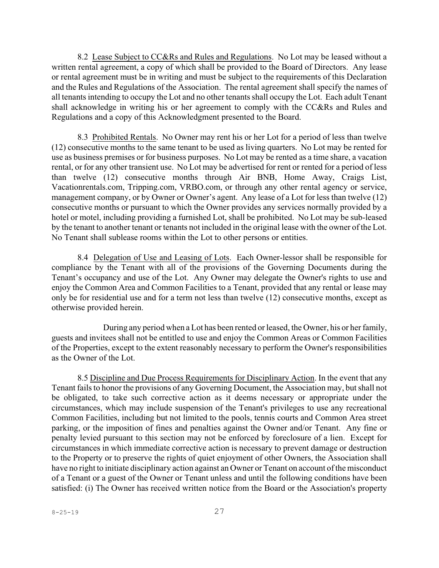8.2 Lease Subject to CC&Rs and Rules and Regulations. No Lot may be leased without a written rental agreement, a copy of which shall be provided to the Board of Directors. Any lease or rental agreement must be in writing and must be subject to the requirements of this Declaration and the Rules and Regulations of the Association. The rental agreement shall specify the names of all tenants intending to occupy the Lot and no other tenantsshall occupy the Lot. Each adult Tenant shall acknowledge in writing his or her agreement to comply with the CC&Rs and Rules and Regulations and a copy of this Acknowledgment presented to the Board.

8.3 Prohibited Rentals. No Owner may rent his or her Lot for a period of less than twelve (12) consecutive months to the same tenant to be used as living quarters. No Lot may be rented for use as business premises or for business purposes. No Lot may be rented as a time share, a vacation rental, or for any other transient use. No Lot may be advertised for rent or rented for a period of less than twelve (12) consecutive months through Air BNB, Home Away, Craigs List, Vacationrentals.com, Tripping.com, VRBO.com, or through any other rental agency or service, management company, or by Owner or Owner's agent. Any lease of a Lot for less than twelve (12) consecutive months or pursuant to which the Owner provides any services normally provided by a hotel or motel, including providing a furnished Lot, shall be prohibited. No Lot may be sub-leased by the tenant to another tenant or tenants not included in the original lease with the owner of the Lot. No Tenant shall sublease rooms within the Lot to other persons or entities.

8.4 Delegation of Use and Leasing of Lots. Each Owner-lessor shall be responsible for compliance by the Tenant with all of the provisions of the Governing Documents during the Tenant's occupancy and use of the Lot. Any Owner may delegate the Owner's rights to use and enjoy the Common Area and Common Facilities to a Tenant, provided that any rental or lease may only be for residential use and for a term not less than twelve (12) consecutive months, except as otherwise provided herein.

During any period when a Lot has been rented or leased, the Owner, his or her family, guests and invitees shall not be entitled to use and enjoy the Common Areas or Common Facilities of the Properties, except to the extent reasonably necessary to perform the Owner's responsibilities as the Owner of the Lot.

8.5 Discipline and Due Process Requirements for Disciplinary Action. In the event that any Tenant fails to honor the provisions of any Governing Document, the Association may, but shall not be obligated, to take such corrective action as it deems necessary or appropriate under the circumstances, which may include suspension of the Tenant's privileges to use any recreational Common Facilities, including but not limited to the pools, tennis courts and Common Area street parking, or the imposition of fines and penalties against the Owner and/or Tenant. Any fine or penalty levied pursuant to this section may not be enforced by foreclosure of a lien. Except for circumstances in which immediate corrective action is necessary to prevent damage or destruction to the Property or to preserve the rights of quiet enjoyment of other Owners, the Association shall have no right to initiate disciplinary action against an Owner or Tenant on account of the misconduct of a Tenant or a guest of the Owner or Tenant unless and until the following conditions have been satisfied: (i) The Owner has received written notice from the Board or the Association's property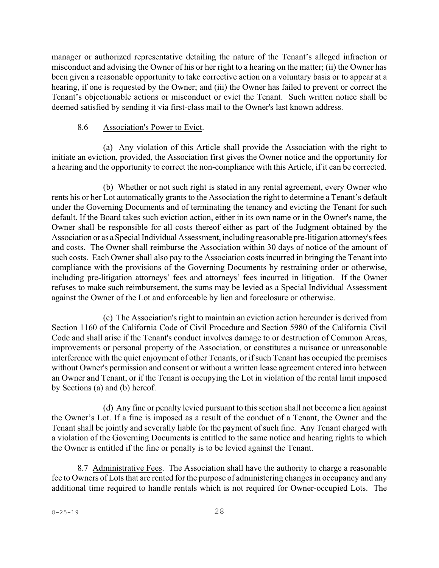manager or authorized representative detailing the nature of the Tenant's alleged infraction or misconduct and advising the Owner of his or her right to a hearing on the matter; (ii) the Owner has been given a reasonable opportunity to take corrective action on a voluntary basis or to appear at a hearing, if one is requested by the Owner; and (iii) the Owner has failed to prevent or correct the Tenant's objectionable actions or misconduct or evict the Tenant. Such written notice shall be deemed satisfied by sending it via first-class mail to the Owner's last known address.

#### 8.6 Association's Power to Evict.

(a) Any violation of this Article shall provide the Association with the right to initiate an eviction, provided, the Association first gives the Owner notice and the opportunity for a hearing and the opportunity to correct the non-compliance with this Article, if it can be corrected.

(b) Whether or not such right is stated in any rental agreement, every Owner who rents his or her Lot automatically grants to the Association the right to determine a Tenant's default under the Governing Documents and of terminating the tenancy and evicting the Tenant for such default. If the Board takes such eviction action, either in its own name or in the Owner's name, the Owner shall be responsible for all costs thereof either as part of the Judgment obtained by the Association or as a Special Individual Assessment, including reasonable pre-litigation attorney's fees and costs. The Owner shall reimburse the Association within 30 days of notice of the amount of such costs. Each Owner shall also pay to the Association costs incurred in bringing the Tenant into compliance with the provisions of the Governing Documents by restraining order or otherwise, including pre-litigation attorneys' fees and attorneys' fees incurred in litigation. If the Owner refuses to make such reimbursement, the sums may be levied as a Special Individual Assessment against the Owner of the Lot and enforceable by lien and foreclosure or otherwise.

(c) The Association's right to maintain an eviction action hereunder is derived from Section 1160 of the California Code of Civil Procedure and Section 5980 of the California Civil Code and shall arise if the Tenant's conduct involves damage to or destruction of Common Areas, improvements or personal property of the Association, or constitutes a nuisance or unreasonable interference with the quiet enjoyment of other Tenants, or if such Tenant has occupied the premises without Owner's permission and consent or without a written lease agreement entered into between an Owner and Tenant, or if the Tenant is occupying the Lot in violation of the rental limit imposed by Sections (a) and (b) hereof.

(d) Any fine or penalty levied pursuant to this section shall not become a lien against the Owner's Lot. If a fine is imposed as a result of the conduct of a Tenant, the Owner and the Tenant shall be jointly and severally liable for the payment of such fine. Any Tenant charged with a violation of the Governing Documents is entitled to the same notice and hearing rights to which the Owner is entitled if the fine or penalty is to be levied against the Tenant.

8.7 Administrative Fees. The Association shall have the authority to charge a reasonable fee to Owners of Lots that are rented for the purpose of administering changes in occupancy and any additional time required to handle rentals which is not required for Owner-occupied Lots. The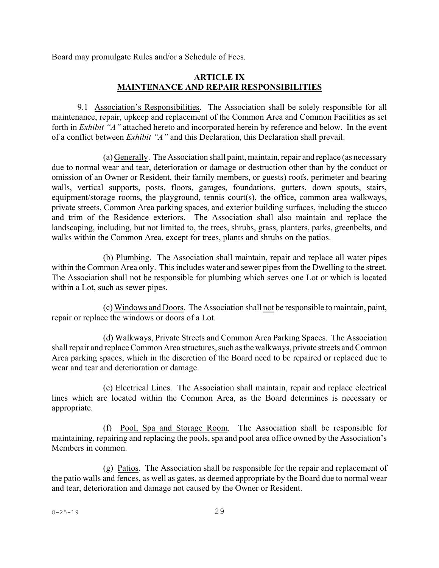Board may promulgate Rules and/or a Schedule of Fees.

### **ARTICLE IX MAINTENANCE AND REPAIR RESPONSIBILITIES**

9.1 Association's Responsibilities. The Association shall be solely responsible for all maintenance, repair, upkeep and replacement of the Common Area and Common Facilities as set forth in *Exhibit "A"* attached hereto and incorporated herein by reference and below. In the event of a conflict between *Exhibit "A"* and this Declaration, this Declaration shall prevail.

(a) Generally. The Association shall paint, maintain,repair and replace (as necessary due to normal wear and tear, deterioration or damage or destruction other than by the conduct or omission of an Owner or Resident, their family members, or guests) roofs, perimeter and bearing walls, vertical supports, posts, floors, garages, foundations, gutters, down spouts, stairs, equipment/storage rooms, the playground, tennis court(s), the office, common area walkways, private streets, Common Area parking spaces, and exterior building surfaces, including the stucco and trim of the Residence exteriors. The Association shall also maintain and replace the landscaping, including, but not limited to, the trees, shrubs, grass, planters, parks, greenbelts, and walks within the Common Area, except for trees, plants and shrubs on the patios.

(b) Plumbing. The Association shall maintain, repair and replace all water pipes within the Common Area only. This includes water and sewer pipes from the Dwelling to the street. The Association shall not be responsible for plumbing which serves one Lot or which is located within a Lot, such as sewer pipes.

(c) Windows and Doors. The Association shall not be responsible to maintain, paint, repair or replace the windows or doors of a Lot.

(d) Walkways, Private Streets and Common Area Parking Spaces. The Association shall repair and replace Common Area structures, such as the walkways, private streets and Common Area parking spaces, which in the discretion of the Board need to be repaired or replaced due to wear and tear and deterioration or damage.

(e) Electrical Lines. The Association shall maintain, repair and replace electrical lines which are located within the Common Area, as the Board determines is necessary or appropriate.

(f) Pool, Spa and Storage Room. The Association shall be responsible for maintaining, repairing and replacing the pools, spa and pool area office owned by the Association's Members in common.

(g) Patios. The Association shall be responsible for the repair and replacement of the patio walls and fences, as well as gates, as deemed appropriate by the Board due to normal wear and tear, deterioration and damage not caused by the Owner or Resident.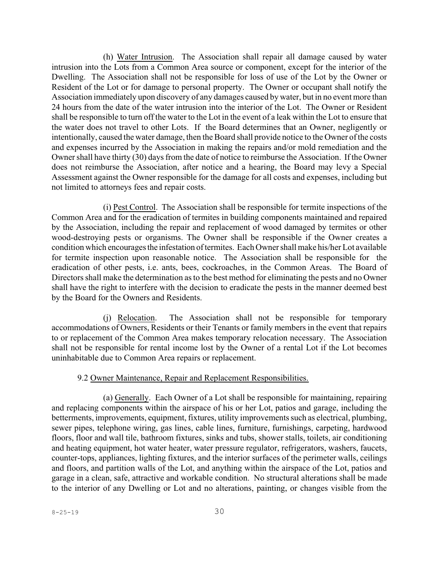(h) Water Intrusion. The Association shall repair all damage caused by water intrusion into the Lots from a Common Area source or component, except for the interior of the Dwelling. The Association shall not be responsible for loss of use of the Lot by the Owner or Resident of the Lot or for damage to personal property. The Owner or occupant shall notify the Association immediately upon discovery of any damages caused by water, but in no event more than 24 hours from the date of the water intrusion into the interior of the Lot. The Owner or Resident shall be responsible to turn off the water to the Lot in the event of a leak within the Lot to ensure that the water does not travel to other Lots. If the Board determines that an Owner, negligently or intentionally, caused the water damage, then the Board shall provide notice to the Owner of the costs and expenses incurred by the Association in making the repairs and/or mold remediation and the Owner shall have thirty (30) days from the date of notice to reimburse the Association. If the Owner does not reimburse the Association, after notice and a hearing, the Board may levy a Special Assessment against the Owner responsible for the damage for all costs and expenses, including but not limited to attorneys fees and repair costs.

(i) Pest Control. The Association shall be responsible for termite inspections of the Common Area and for the eradication of termites in building components maintained and repaired by the Association, including the repair and replacement of wood damaged by termites or other wood-destroying pests or organisms. The Owner shall be responsible if the Owner creates a condition which encouragesthe infestation of termites. Each Owner shall make his/her Lot available for termite inspection upon reasonable notice. The Association shall be responsible for the eradication of other pests, i.e. ants, bees, cockroaches, in the Common Areas. The Board of Directors shall make the determination as to the best method for eliminating the pests and no Owner shall have the right to interfere with the decision to eradicate the pests in the manner deemed best by the Board for the Owners and Residents.

(j) Relocation. The Association shall not be responsible for temporary accommodations of Owners, Residents or their Tenants or family members in the event that repairs to or replacement of the Common Area makes temporary relocation necessary. The Association shall not be responsible for rental income lost by the Owner of a rental Lot if the Lot becomes uninhabitable due to Common Area repairs or replacement.

#### 9.2 Owner Maintenance, Repair and Replacement Responsibilities.

(a) Generally. Each Owner of a Lot shall be responsible for maintaining, repairing and replacing components within the airspace of his or her Lot, patios and garage, including the betterments, improvements, equipment, fixtures, utility improvements such as electrical, plumbing, sewer pipes, telephone wiring, gas lines, cable lines, furniture, furnishings, carpeting, hardwood floors, floor and wall tile, bathroom fixtures, sinks and tubs, shower stalls, toilets, air conditioning and heating equipment, hot water heater, water pressure regulator, refrigerators, washers, faucets, counter-tops, appliances, lighting fixtures, and the interior surfaces of the perimeter walls, ceilings and floors, and partition walls of the Lot, and anything within the airspace of the Lot, patios and garage in a clean, safe, attractive and workable condition. No structural alterations shall be made to the interior of any Dwelling or Lot and no alterations, painting, or changes visible from the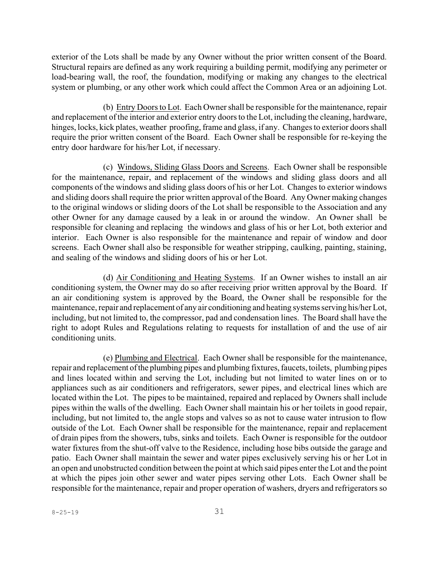exterior of the Lots shall be made by any Owner without the prior written consent of the Board. Structural repairs are defined as any work requiring a building permit, modifying any perimeter or load-bearing wall, the roof, the foundation, modifying or making any changes to the electrical system or plumbing, or any other work which could affect the Common Area or an adjoining Lot.

(b) Entry Doorsto Lot. Each Owner shall be responsible for the maintenance, repair and replacement of the interior and exterior entry doors to the Lot, including the cleaning, hardware, hinges, locks, kick plates, weather proofing, frame and glass, if any. Changes to exterior doors shall require the prior written consent of the Board. Each Owner shall be responsible for re-keying the entry door hardware for his/her Lot, if necessary.

(c) Windows, Sliding Glass Doors and Screens. Each Owner shall be responsible for the maintenance, repair, and replacement of the windows and sliding glass doors and all components of the windows and sliding glass doors of his or her Lot. Changes to exterior windows and sliding doors shall require the prior written approval of the Board. Any Owner making changes to the original windows or sliding doors of the Lot shall be responsible to the Association and any other Owner for any damage caused by a leak in or around the window. An Owner shall be responsible for cleaning and replacing the windows and glass of his or her Lot, both exterior and interior. Each Owner is also responsible for the maintenance and repair of window and door screens. Each Owner shall also be responsible for weather stripping, caulking, painting, staining, and sealing of the windows and sliding doors of his or her Lot.

(d) Air Conditioning and Heating Systems. If an Owner wishes to install an air conditioning system, the Owner may do so after receiving prior written approval by the Board. If an air conditioning system is approved by the Board, the Owner shall be responsible for the maintenance, repair and replacement of any air conditioning and heating systems serving his/her Lot, including, but not limited to, the compressor, pad and condensation lines. The Board shall have the right to adopt Rules and Regulations relating to requests for installation of and the use of air conditioning units.

(e) Plumbing and Electrical. Each Owner shall be responsible for the maintenance, repair and replacement of the plumbing pipes and plumbing fixtures, faucets, toilets, plumbing pipes and lines located within and serving the Lot, including but not limited to water lines on or to appliances such as air conditioners and refrigerators, sewer pipes, and electrical lines which are located within the Lot. The pipes to be maintained, repaired and replaced by Owners shall include pipes within the walls of the dwelling. Each Owner shall maintain his or her toilets in good repair, including, but not limited to, the angle stops and valves so as not to cause water intrusion to flow outside of the Lot. Each Owner shall be responsible for the maintenance, repair and replacement of drain pipes from the showers, tubs, sinks and toilets. Each Owner is responsible for the outdoor water fixtures from the shut-off valve to the Residence, including hose bibs outside the garage and patio. Each Owner shall maintain the sewer and water pipes exclusively serving his or her Lot in an open and unobstructed condition between the point at which said pipes enter the Lot and the point at which the pipes join other sewer and water pipes serving other Lots. Each Owner shall be responsible for the maintenance, repair and proper operation of washers, dryers and refrigerators so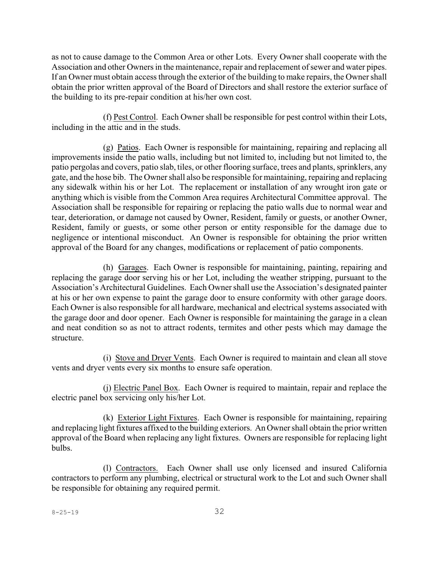as not to cause damage to the Common Area or other Lots. Every Owner shall cooperate with the Association and other Owners in the maintenance, repair and replacement of sewer and water pipes. If an Owner must obtain access through the exterior of the building to make repairs, the Owner shall obtain the prior written approval of the Board of Directors and shall restore the exterior surface of the building to its pre-repair condition at his/her own cost.

(f) Pest Control. Each Owner shall be responsible for pest control within their Lots, including in the attic and in the studs.

(g) Patios. Each Owner is responsible for maintaining, repairing and replacing all improvements inside the patio walls, including but not limited to, including but not limited to, the patio pergolas and covers, patio slab, tiles, or other flooring surface, trees and plants, sprinklers, any gate, and the hose bib. The Owner shall also be responsible for maintaining, repairing and replacing any sidewalk within his or her Lot. The replacement or installation of any wrought iron gate or anything which is visible from the Common Area requires Architectural Committee approval. The Association shall be responsible for repairing or replacing the patio walls due to normal wear and tear, deterioration, or damage not caused by Owner, Resident, family or guests, or another Owner, Resident, family or guests, or some other person or entity responsible for the damage due to negligence or intentional misconduct. An Owner is responsible for obtaining the prior written approval of the Board for any changes, modifications or replacement of patio components.

(h) Garages. Each Owner is responsible for maintaining, painting, repairing and replacing the garage door serving his or her Lot, including the weather stripping, pursuant to the Association's Architectural Guidelines. Each Ownershall use the Association's designated painter at his or her own expense to paint the garage door to ensure conformity with other garage doors. Each Owner is also responsible for all hardware, mechanical and electrical systems associated with the garage door and door opener. Each Owner is responsible for maintaining the garage in a clean and neat condition so as not to attract rodents, termites and other pests which may damage the structure.

(i) Stove and Dryer Vents. Each Owner is required to maintain and clean all stove vents and dryer vents every six months to ensure safe operation.

(j) Electric Panel Box. Each Owner is required to maintain, repair and replace the electric panel box servicing only his/her Lot.

(k) Exterior Light Fixtures. Each Owner is responsible for maintaining, repairing and replacing light fixtures affixed to the building exteriors. An Owner shall obtain the prior written approval of the Board when replacing any light fixtures. Owners are responsible for replacing light bulbs.

(l) Contractors. Each Owner shall use only licensed and insured California contractors to perform any plumbing, electrical or structural work to the Lot and such Owner shall be responsible for obtaining any required permit.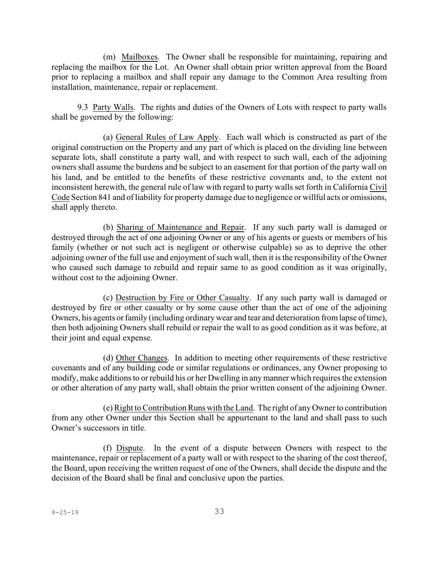(m) Mailboxes. The Owner shall be responsible for maintaining, repairing and replacing the mailbox for the Lot. An Owner shall obtain prior written approval from the Board prior to replacing a mailbox and shall repair any damage to the Common Area resulting from installation, maintenance, repair or replacement.

9.3 Party Walls. The rights and duties of the Owners of Lots with respect to party walls shall be governed by the following:

(a) General Rules of Law Apply. Each wall which is constructed as part of the original construction on the Property and any part of which is placed on the dividing line between separate lots, shall constitute a party wall, and with respect to such wall, each of the adjoining owners shall assume the burdens and be subject to an easement for that portion of the party wall on his land, and be entitled to the benefits of these restrictive covenants and, to the extent not inconsistent herewith, the general rule of law with regard to party walls set forth in California Civil Code Section 841 and of liability for property damage due to negligence or willful acts or omissions, shall apply thereto.

(b) Sharing of Maintenance and Repair. If any such party wall is damaged or destroyed through the act of one adjoining Owner or any of his agents or guests or members of his family (whether or not such act is negligent or otherwise culpable) so as to deprive the other adjoining owner of the full use and enjoyment of such wall, then it is the responsibility of the Owner who caused such damage to rebuild and repair same to as good condition as it was originally, without cost to the adjoining Owner.

(c) Destruction by Fire or Other Casualty. If any such party wall is damaged or destroyed by fire or other casualty or by some cause other than the act of one of the adjoining Owners, his agents or family (including ordinary wear and tear and deterioration fromlapse of time), then both adjoining Owners shall rebuild or repair the wall to as good condition as it was before, at their joint and equal expense.

(d) Other Changes. In addition to meeting other requirements of these restrictive covenants and of any building code or similar regulations or ordinances, any Owner proposing to modify, make additions to or rebuild his or her Dwelling in any manner which requires the extension or other alteration of any party wall, shall obtain the prior written consent of the adjoining Owner.

(e)Right to ContributionRuns with the Land. The right of any Owner to contribution from any other Owner under this Section shall be appurtenant to the land and shall pass to such Owner's successors in title.

(f) Dispute. In the event of a dispute between Owners with respect to the maintenance, repair or replacement of a party wall or with respect to the sharing of the cost thereof, the Board, upon receiving the written request of one of the Owners, shall decide the dispute and the decision of the Board shall be final and conclusive upon the parties.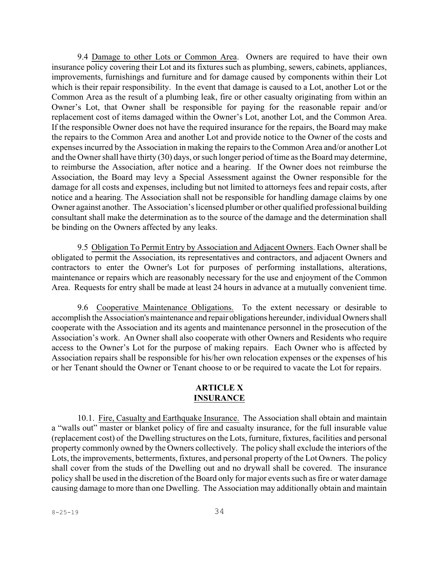9.4 Damage to other Lots or Common Area. Owners are required to have their own insurance policy covering their Lot and its fixtures such as plumbing, sewers, cabinets, appliances, improvements, furnishings and furniture and for damage caused by components within their Lot which is their repair responsibility. In the event that damage is caused to a Lot, another Lot or the Common Area as the result of a plumbing leak, fire or other casualty originating from within an Owner's Lot, that Owner shall be responsible for paying for the reasonable repair and/or replacement cost of items damaged within the Owner's Lot, another Lot, and the Common Area. If the responsible Owner does not have the required insurance for the repairs, the Board may make the repairs to the Common Area and another Lot and provide notice to the Owner of the costs and expensesincurred by the Association in making the repairs to the Common Area and/or another Lot and the Owner shall have thirty (30) days, or such longer period of time as the Board may determine, to reimburse the Association, after notice and a hearing. If the Owner does not reimburse the Association, the Board may levy a Special Assessment against the Owner responsible for the damage for all costs and expenses, including but not limited to attorneys fees and repair costs, after notice and a hearing. The Association shall not be responsible for handling damage claims by one Owner against another. The Association's licensed plumber or other qualified professional building consultant shall make the determination as to the source of the damage and the determination shall be binding on the Owners affected by any leaks.

9.5 Obligation To Permit Entry by Association and Adjacent Owners. Each Owner shall be obligated to permit the Association, its representatives and contractors, and adjacent Owners and contractors to enter the Owner's Lot for purposes of performing installations, alterations, maintenance or repairs which are reasonably necessary for the use and enjoyment of the Common Area. Requests for entry shall be made at least 24 hours in advance at a mutually convenient time.

9.6 Cooperative Maintenance Obligations. To the extent necessary or desirable to accomplish the Association's maintenance and repair obligations hereunder, individual Owners shall cooperate with the Association and its agents and maintenance personnel in the prosecution of the Association's work. An Owner shall also cooperate with other Owners and Residents who require access to the Owner's Lot for the purpose of making repairs. Each Owner who is affected by Association repairs shall be responsible for his/her own relocation expenses or the expenses of his or her Tenant should the Owner or Tenant choose to or be required to vacate the Lot for repairs.

### **ARTICLE X INSURANCE**

10.1. Fire, Casualty and Earthquake Insurance. The Association shall obtain and maintain a "walls out" master or blanket policy of fire and casualty insurance, for the full insurable value (replacement cost) of the Dwelling structures on the Lots, furniture, fixtures, facilities and personal property commonly owned by the Owners collectively. The policy shall exclude the interiors of the Lots, the improvements, betterments, fixtures, and personal property of the Lot Owners. The policy shall cover from the studs of the Dwelling out and no drywall shall be covered. The insurance policy shall be used in the discretion of the Board only for major events such as fire or water damage causing damage to more than one Dwelling. The Association may additionally obtain and maintain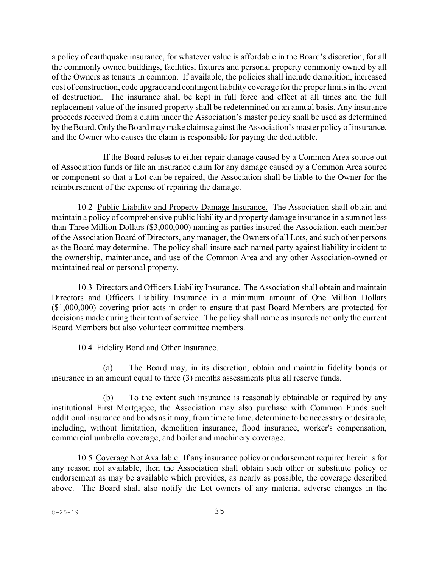a policy of earthquake insurance, for whatever value is affordable in the Board's discretion, for all the commonly owned buildings, facilities, fixtures and personal property commonly owned by all of the Owners as tenants in common. If available, the policies shall include demolition, increased cost of construction, code upgrade and contingent liability coverage for the proper limits in the event of destruction. The insurance shall be kept in full force and effect at all times and the full replacement value of the insured property shall be redetermined on an annual basis. Any insurance proceeds received from a claim under the Association's master policy shall be used as determined by the Board. Only the Board may make claims against the Association's master policy of insurance, and the Owner who causes the claim is responsible for paying the deductible.

If the Board refuses to either repair damage caused by a Common Area source out of Association funds or file an insurance claim for any damage caused by a Common Area source or component so that a Lot can be repaired, the Association shall be liable to the Owner for the reimbursement of the expense of repairing the damage.

10.2 Public Liability and Property Damage Insurance. The Association shall obtain and maintain a policy of comprehensive public liability and property damage insurance in a sum not less than Three Million Dollars (\$3,000,000) naming as parties insured the Association, each member of the Association Board of Directors, any manager, the Owners of all Lots, and such other persons as the Board may determine. The policy shall insure each named party against liability incident to the ownership, maintenance, and use of the Common Area and any other Association-owned or maintained real or personal property.

10.3 Directors and Officers Liability Insurance. The Association shall obtain and maintain Directors and Officers Liability Insurance in a minimum amount of One Million Dollars (\$1,000,000) covering prior acts in order to ensure that past Board Members are protected for decisions made during their term of service. The policy shall name as insureds not only the current Board Members but also volunteer committee members.

### 10.4 Fidelity Bond and Other Insurance.

(a) The Board may, in its discretion, obtain and maintain fidelity bonds or insurance in an amount equal to three (3) months assessments plus all reserve funds.

(b) To the extent such insurance is reasonably obtainable or required by any institutional First Mortgagee, the Association may also purchase with Common Funds such additional insurance and bonds as it may, from time to time, determine to be necessary or desirable, including, without limitation, demolition insurance, flood insurance, worker's compensation, commercial umbrella coverage, and boiler and machinery coverage.

10.5 Coverage Not Available. If any insurance policy or endorsement required herein is for any reason not available, then the Association shall obtain such other or substitute policy or endorsement as may be available which provides, as nearly as possible, the coverage described above. The Board shall also notify the Lot owners of any material adverse changes in the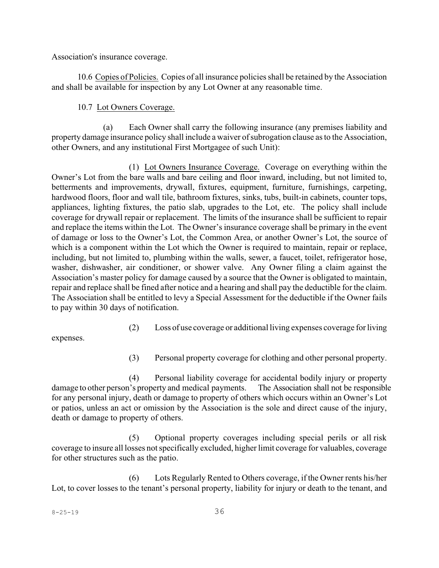Association's insurance coverage.

10.6 Copies of Policies. Copies of all insurance policies shall be retained by the Association and shall be available for inspection by any Lot Owner at any reasonable time.

## 10.7 Lot Owners Coverage.

(a) Each Owner shall carry the following insurance (any premises liability and property damage insurance policy shall include a waiver of subrogation clause asto the Association, other Owners, and any institutional First Mortgagee of such Unit):

(1) Lot Owners Insurance Coverage. Coverage on everything within the Owner's Lot from the bare walls and bare ceiling and floor inward, including, but not limited to, betterments and improvements, drywall, fixtures, equipment, furniture, furnishings, carpeting, hardwood floors, floor and wall tile, bathroom fixtures, sinks, tubs, built-in cabinets, counter tops, appliances, lighting fixtures, the patio slab, upgrades to the Lot, etc. The policy shall include coverage for drywall repair or replacement. The limits of the insurance shall be sufficient to repair and replace the items within the Lot. The Owner's insurance coverage shall be primary in the event of damage or loss to the Owner's Lot, the Common Area, or another Owner's Lot, the source of which is a component within the Lot which the Owner is required to maintain, repair or replace, including, but not limited to, plumbing within the walls, sewer, a faucet, toilet, refrigerator hose, washer, dishwasher, air conditioner, or shower valve. Any Owner filing a claim against the Association's master policy for damage caused by a source that the Owner is obligated to maintain, repair and replace shall be fined after notice and a hearing and shall pay the deductible for the claim. The Association shall be entitled to levy a Special Assessment for the deductible if the Owner fails to pay within 30 days of notification.

(2) Loss of use coverage or additional living expenses coverage forliving

expenses.

(3) Personal property coverage for clothing and other personal property.

(4) Personal liability coverage for accidental bodily injury or property damage to other person's property and medical payments. The Association shall not be responsible for any personal injury, death or damage to property of others which occurs within an Owner's Lot or patios, unless an act or omission by the Association is the sole and direct cause of the injury, death or damage to property of others.

(5) Optional property coverages including special perils or all risk coverage to insure all losses not specifically excluded, higher limit coverage for valuables, coverage for other structures such as the patio.

(6) Lots Regularly Rented to Others coverage, if the Owner rents his/her Lot, to cover losses to the tenant's personal property, liability for injury or death to the tenant, and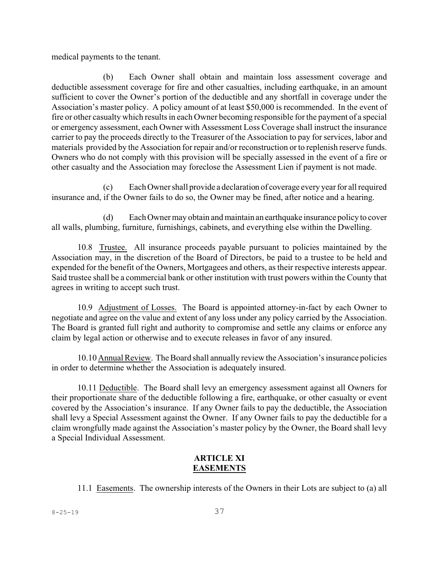medical payments to the tenant.

(b) Each Owner shall obtain and maintain loss assessment coverage and deductible assessment coverage for fire and other casualties, including earthquake, in an amount sufficient to cover the Owner's portion of the deductible and any shortfall in coverage under the Association's master policy. A policy amount of at least \$50,000 is recommended. In the event of fire or other casualty which results in each Owner becoming responsible for the payment of a special or emergency assessment, each Owner with Assessment Loss Coverage shall instruct the insurance carrier to pay the proceeds directly to the Treasurer of the Association to pay for services, labor and materials provided by the Association for repair and/or reconstruction or to replenish reserve funds. Owners who do not comply with this provision will be specially assessed in the event of a fire or other casualty and the Association may foreclose the Assessment Lien if payment is not made.

(c) EachOwnershall provide a declaration of coverage every yearfor all required insurance and, if the Owner fails to do so, the Owner may be fined, after notice and a hearing.

(d) EachOwner may obtain and maintain an earthquake insurance policy to cover all walls, plumbing, furniture, furnishings, cabinets, and everything else within the Dwelling.

10.8 Trustee. All insurance proceeds payable pursuant to policies maintained by the Association may, in the discretion of the Board of Directors, be paid to a trustee to be held and expended for the benefit of the Owners, Mortgagees and others, as their respective interests appear. Said trustee shall be a commercial bank or other institution with trust powers within the County that agrees in writing to accept such trust.

10.9 Adjustment of Losses. The Board is appointed attorney-in-fact by each Owner to negotiate and agree on the value and extent of any loss under any policy carried by the Association. The Board is granted full right and authority to compromise and settle any claims or enforce any claim by legal action or otherwise and to execute releases in favor of any insured.

10.10 Annual Review. The Board shall annually review the Association's insurance policies in order to determine whether the Association is adequately insured.

10.11 Deductible. The Board shall levy an emergency assessment against all Owners for their proportionate share of the deductible following a fire, earthquake, or other casualty or event covered by the Association's insurance. If any Owner fails to pay the deductible, the Association shall levy a Special Assessment against the Owner. If any Owner fails to pay the deductible for a claim wrongfully made against the Association's master policy by the Owner, the Board shall levy a Special Individual Assessment.

## **ARTICLE XI EASEMENTS**

11.1 Easements. The ownership interests of the Owners in their Lots are subject to (a) all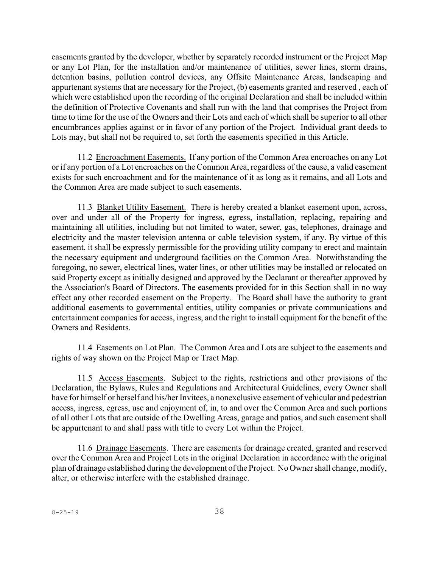easements granted by the developer, whether by separately recorded instrument or the Project Map or any Lot Plan, for the installation and/or maintenance of utilities, sewer lines, storm drains, detention basins, pollution control devices, any Offsite Maintenance Areas, landscaping and appurtenant systems that are necessary for the Project, (b) easements granted and reserved , each of which were established upon the recording of the original Declaration and shall be included within the definition of Protective Covenants and shall run with the land that comprises the Project from time to time for the use of the Owners and their Lots and each of which shall be superior to all other encumbrances applies against or in favor of any portion of the Project. Individual grant deeds to Lots may, but shall not be required to, set forth the easements specified in this Article.

11.2 Encroachment Easements. If any portion of the Common Area encroaches on any Lot or if any portion of a Lot encroaches on the Common Area, regardless of the cause, a valid easement exists for such encroachment and for the maintenance of it as long as it remains, and all Lots and the Common Area are made subject to such easements.

11.3 Blanket Utility Easement. There is hereby created a blanket easement upon, across, over and under all of the Property for ingress, egress, installation, replacing, repairing and maintaining all utilities, including but not limited to water, sewer, gas, telephones, drainage and electricity and the master television antenna or cable television system, if any. By virtue of this easement, it shall be expressly permissible for the providing utility company to erect and maintain the necessary equipment and underground facilities on the Common Area. Notwithstanding the foregoing, no sewer, electrical lines, water lines, or other utilities may be installed or relocated on said Property except as initially designed and approved by the Declarant or thereafter approved by the Association's Board of Directors. The easements provided for in this Section shall in no way effect any other recorded easement on the Property. The Board shall have the authority to grant additional easements to governmental entities, utility companies or private communications and entertainment companies for access, ingress, and the right to install equipment for the benefit of the Owners and Residents.

11.4 Easements on Lot Plan. The Common Area and Lots are subject to the easements and rights of way shown on the Project Map or Tract Map.

11.5 Access Easements. Subject to the rights, restrictions and other provisions of the Declaration, the Bylaws, Rules and Regulations and Architectural Guidelines, every Owner shall have for himself or herself and his/her Invitees, a nonexclusive easement of vehicular and pedestrian access, ingress, egress, use and enjoyment of, in, to and over the Common Area and such portions of all other Lots that are outside of the Dwelling Areas, garage and patios, and such easement shall be appurtenant to and shall pass with title to every Lot within the Project.

11.6 Drainage Easements. There are easements for drainage created, granted and reserved over the Common Area and Project Lots in the original Declaration in accordance with the original plan of drainage established during the development of the Project. No Owner shall change, modify, alter, or otherwise interfere with the established drainage.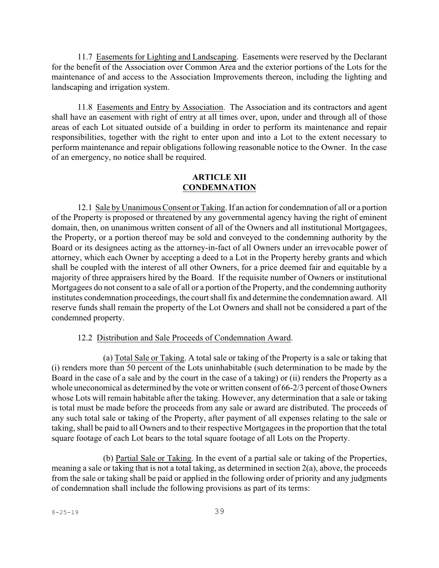11.7 Easements for Lighting and Landscaping. Easements were reserved by the Declarant for the benefit of the Association over Common Area and the exterior portions of the Lots for the maintenance of and access to the Association Improvements thereon, including the lighting and landscaping and irrigation system.

11.8 Easements and Entry by Association. The Association and its contractors and agent shall have an easement with right of entry at all times over, upon, under and through all of those areas of each Lot situated outside of a building in order to perform its maintenance and repair responsibilities, together with the right to enter upon and into a Lot to the extent necessary to perform maintenance and repair obligations following reasonable notice to the Owner. In the case of an emergency, no notice shall be required.

### **ARTICLE XII CONDEMNATION**

12.1 Sale by Unanimous Consent or Taking. If an action for condemnation of all or a portion of the Property is proposed or threatened by any governmental agency having the right of eminent domain, then, on unanimous written consent of all of the Owners and all institutional Mortgagees, the Property, or a portion thereof may be sold and conveyed to the condemning authority by the Board or its designees acting as the attorney-in-fact of all Owners under an irrevocable power of attorney, which each Owner by accepting a deed to a Lot in the Property hereby grants and which shall be coupled with the interest of all other Owners, for a price deemed fair and equitable by a majority of three appraisers hired by the Board. If the requisite number of Owners or institutional Mortgagees do not consent to a sale of all or a portion of the Property, and the condemning authority institutes condemnation proceedings, the court shall fix and determine the condemnation award. All reserve funds shall remain the property of the Lot Owners and shall not be considered a part of the condemned property.

### 12.2 Distribution and Sale Proceeds of Condemnation Award.

(a) Total Sale or Taking. A total sale or taking of the Property is a sale or taking that (i) renders more than 50 percent of the Lots uninhabitable (such determination to be made by the Board in the case of a sale and by the court in the case of a taking) or (ii) renders the Property as a whole uneconomical as determined by the vote or written consent of 66-2/3 percent of those Owners whose Lots will remain habitable after the taking. However, any determination that a sale or taking is total must be made before the proceeds from any sale or award are distributed. The proceeds of any such total sale or taking of the Property, after payment of all expenses relating to the sale or taking, shall be paid to all Owners and to their respective Mortgagees in the proportion that the total square footage of each Lot bears to the total square footage of all Lots on the Property.

(b) Partial Sale or Taking. In the event of a partial sale or taking of the Properties, meaning a sale or taking that is not a total taking, as determined in section 2(a), above, the proceeds from the sale or taking shall be paid or applied in the following order of priority and any judgments of condemnation shall include the following provisions as part of its terms: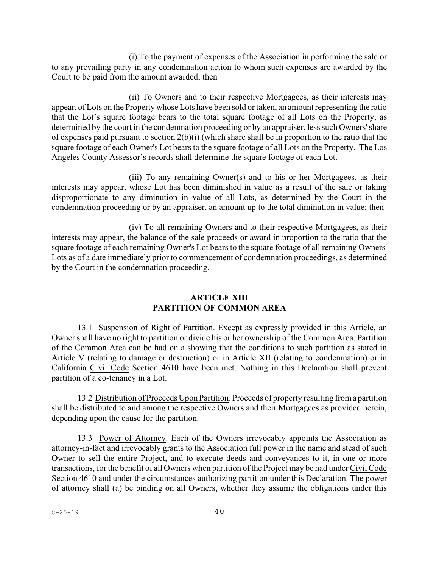(i) To the payment of expenses of the Association in performing the sale or to any prevailing party in any condemnation action to whom such expenses are awarded by the Court to be paid from the amount awarded; then

(ii) To Owners and to their respective Mortgagees, as their interests may appear, of Lots on the Property whose Lots have been sold or taken, an amount representing the ratio that the Lot's square footage bears to the total square footage of all Lots on the Property, as determined by the court in the condemnation proceeding or by an appraiser, less such Owners'share of expenses paid pursuant to section 2(b)(i) (which share shall be in proportion to the ratio that the square footage of each Owner's Lot bears to the square footage of all Lots on the Property. The Los Angeles County Assessor's records shall determine the square footage of each Lot.

(iii) To any remaining Owner(s) and to his or her Mortgagees, as their interests may appear, whose Lot has been diminished in value as a result of the sale or taking disproportionate to any diminution in value of all Lots, as determined by the Court in the condemnation proceeding or by an appraiser, an amount up to the total diminution in value; then

(iv) To all remaining Owners and to their respective Mortgagees, as their interests may appear, the balance of the sale proceeds or award in proportion to the ratio that the square footage of each remaining Owner's Lot bears to the square footage of all remaining Owners' Lots as of a date immediately prior to commencement of condemnation proceedings, as determined by the Court in the condemnation proceeding.

### **ARTICLE XIII PARTITION OF COMMON AREA**

13.1 Suspension of Right of Partition. Except as expressly provided in this Article, an Owner shall have no right to partition or divide his or her ownership of the Common Area. Partition of the Common Area can be had on a showing that the conditions to such partition as stated in Article V (relating to damage or destruction) or in Article XII (relating to condemnation) or in California Civil Code Section 4610 have been met. Nothing in this Declaration shall prevent partition of a co-tenancy in a Lot.

13.2 Distribution of Proceeds Upon Partition. Proceeds of property resulting froma partition shall be distributed to and among the respective Owners and their Mortgagees as provided herein, depending upon the cause for the partition.

13.3 Power of Attorney. Each of the Owners irrevocably appoints the Association as attorney-in-fact and irrevocably grants to the Association full power in the name and stead of such Owner to sell the entire Project, and to execute deeds and conveyances to it, in one or more transactions, for the benefit of all Owners when partition of the Project may be had under Civil Code Section 4610 and under the circumstances authorizing partition under this Declaration. The power of attorney shall (a) be binding on all Owners, whether they assume the obligations under this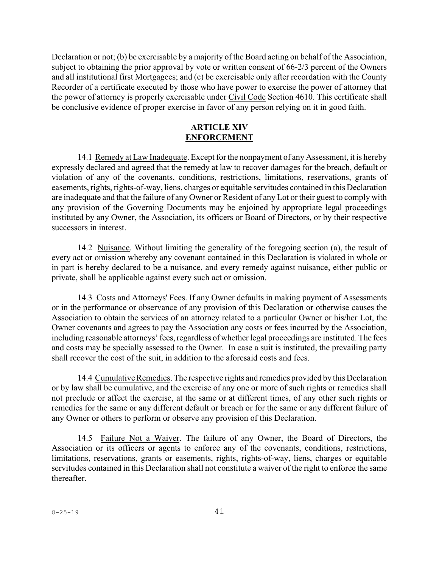Declaration or not; (b) be exercisable by a majority of the Board acting on behalf of the Association, subject to obtaining the prior approval by vote or written consent of 66-2/3 percent of the Owners and all institutional first Mortgagees; and (c) be exercisable only after recordation with the County Recorder of a certificate executed by those who have power to exercise the power of attorney that the power of attorney is properly exercisable under Civil Code Section 4610. This certificate shall be conclusive evidence of proper exercise in favor of any person relying on it in good faith.

#### **ARTICLE XIV ENFORCEMENT**

14.1 Remedy at Law Inadequate. Except for the nonpayment of any Assessment, it is hereby expressly declared and agreed that the remedy at law to recover damages for the breach, default or violation of any of the covenants, conditions, restrictions, limitations, reservations, grants of easements, rights, rights-of-way, liens, charges or equitable servitudes contained in this Declaration are inadequate and that the failure of any Owner or Resident of any Lot or their guest to comply with any provision of the Governing Documents may be enjoined by appropriate legal proceedings instituted by any Owner, the Association, its officers or Board of Directors, or by their respective successors in interest.

14.2 Nuisance. Without limiting the generality of the foregoing section (a), the result of every act or omission whereby any covenant contained in this Declaration is violated in whole or in part is hereby declared to be a nuisance, and every remedy against nuisance, either public or private, shall be applicable against every such act or omission.

14.3 Costs and Attorneys' Fees. If any Owner defaults in making payment of Assessments or in the performance or observance of any provision of this Declaration or otherwise causes the Association to obtain the services of an attorney related to a particular Owner or his/her Lot, the Owner covenants and agrees to pay the Association any costs or fees incurred by the Association, including reasonable attorneys' fees, regardless of whether legal proceedings are instituted. The fees and costs may be specially assessed to the Owner. In case a suit is instituted, the prevailing party shall recover the cost of the suit, in addition to the aforesaid costs and fees.

14.4 Cumulative Remedies. The respective rights and remedies provided by this Declaration or by law shall be cumulative, and the exercise of any one or more of such rights or remedies shall not preclude or affect the exercise, at the same or at different times, of any other such rights or remedies for the same or any different default or breach or for the same or any different failure of any Owner or others to perform or observe any provision of this Declaration.

14.5 Failure Not a Waiver. The failure of any Owner, the Board of Directors, the Association or its officers or agents to enforce any of the covenants, conditions, restrictions, limitations, reservations, grants or easements, rights, rights-of-way, liens, charges or equitable servitudes contained in this Declaration shall not constitute a waiver of the right to enforce the same thereafter.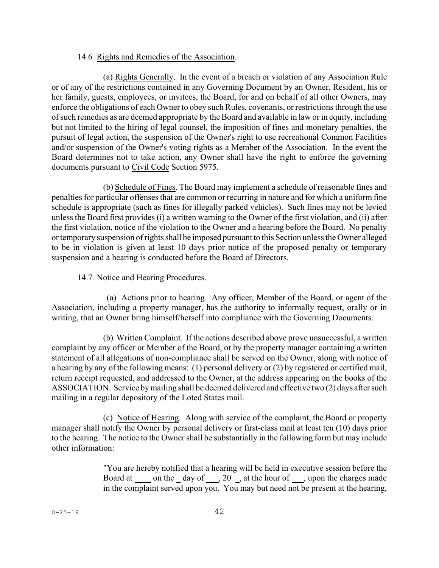#### 14.6 Rights and Remedies of the Association.

(a) Rights Generally. In the event of a breach or violation of any Association Rule or of any of the restrictions contained in any Governing Document by an Owner, Resident, his or her family, guests, employees, or invitees, the Board, for and on behalf of all other Owners, may enforce the obligations of each Owner to obey such Rules, covenants, or restrictions through the use ofsuch remedies as are deemed appropriate by the Board and available in law or in equity, including but not limited to the hiring of legal counsel, the imposition of fines and monetary penalties, the pursuit of legal action, the suspension of the Owner's right to use recreational Common Facilities and/or suspension of the Owner's voting rights as a Member of the Association. In the event the Board determines not to take action, any Owner shall have the right to enforce the governing documents pursuant to Civil Code Section 5975.

(b) Schedule of Fines. The Board may implement a schedule of reasonable fines and penalties for particular offenses that are common or recurring in nature and for which a uniform fine schedule is appropriate (such as fines for illegally parked vehicles). Such fines may not be levied unless the Board first provides (i) a written warning to the Owner of the first violation, and (ii) after the first violation, notice of the violation to the Owner and a hearing before the Board. No penalty ortemporary suspension of rights shall be imposed pursuant to this Section unless the Owner alleged to be in violation is given at least 10 days prior notice of the proposed penalty or temporary suspension and a hearing is conducted before the Board of Directors.

### 14.7 Notice and Hearing Procedures.

(a) Actions prior to hearing. Any officer, Member of the Board, or agent of the Association, including a property manager, has the authority to informally request, orally or in writing, that an Owner bring himself/herself into compliance with the Governing Documents.

(b) Written Complaint. If the actions described above prove unsuccessful, a written complaint by any officer or Member of the Board, or by the property manager containing a written statement of all allegations of non-compliance shall be served on the Owner, along with notice of a hearing by any of the following means: (1) personal delivery or (2) by registered or certified mail, return receipt requested, and addressed to the Owner, at the address appearing on the books of the ASSOCIATION. Service by mailing shall be deemed delivered and effective two (2) days after such mailing in a regular depository of the Loted States mail.

(c) Notice of Hearing. Along with service of the complaint, the Board or property manager shall notify the Owner by personal delivery or first-class mail at least ten (10) days prior to the hearing. The notice to the Owner shall be substantially in the following form but may include other information:

> "You are hereby notified that a hearing will be held in executive session before the Board at on the day of , 20 , at the hour of , upon the charges made in the complaint served upon you. You may but need not be present at the hearing,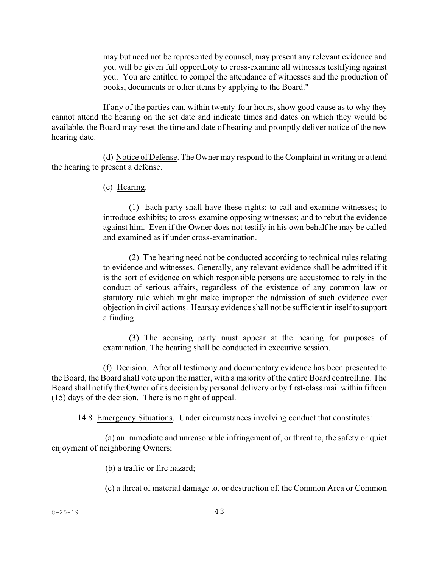may but need not be represented by counsel, may present any relevant evidence and you will be given full opportLoty to cross-examine all witnesses testifying against you. You are entitled to compel the attendance of witnesses and the production of books, documents or other items by applying to the Board."

If any of the parties can, within twenty-four hours, show good cause as to why they cannot attend the hearing on the set date and indicate times and dates on which they would be available, the Board may reset the time and date of hearing and promptly deliver notice of the new hearing date.

(d) Notice of Defense. The Owner may respond to the Complaint in writing or attend the hearing to present a defense.

(e) Hearing.

(1) Each party shall have these rights: to call and examine witnesses; to introduce exhibits; to cross-examine opposing witnesses; and to rebut the evidence against him. Even if the Owner does not testify in his own behalf he may be called and examined as if under cross-examination.

(2) The hearing need not be conducted according to technical rules relating to evidence and witnesses. Generally, any relevant evidence shall be admitted if it is the sort of evidence on which responsible persons are accustomed to rely in the conduct of serious affairs, regardless of the existence of any common law or statutory rule which might make improper the admission of such evidence over objection in civil actions. Hearsay evidence shall not be sufficient in itself to support a finding.

(3) The accusing party must appear at the hearing for purposes of examination. The hearing shall be conducted in executive session.

(f) Decision. After all testimony and documentary evidence has been presented to the Board, the Board shall vote upon the matter, with a majority of the entire Board controlling. The Board shall notify the Owner of its decision by personal delivery or by first-class mail within fifteen (15) days of the decision. There is no right of appeal.

14.8 Emergency Situations. Under circumstances involving conduct that constitutes:

(a) an immediate and unreasonable infringement of, or threat to, the safety or quiet enjoyment of neighboring Owners;

(b) a traffic or fire hazard;

(c) a threat of material damage to, or destruction of, the Common Area or Common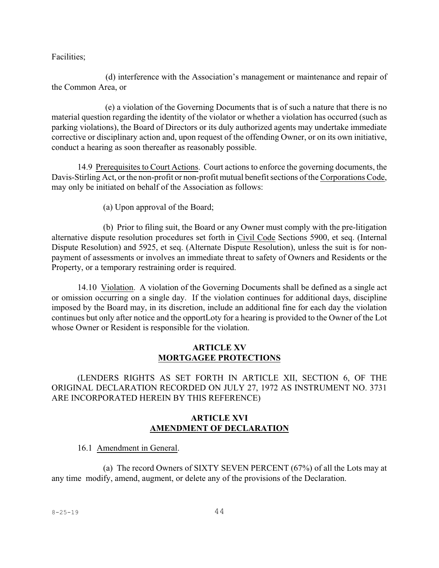Facilities;

(d) interference with the Association's management or maintenance and repair of the Common Area, or

(e) a violation of the Governing Documents that is of such a nature that there is no material question regarding the identity of the violator or whether a violation has occurred (such as parking violations), the Board of Directors or its duly authorized agents may undertake immediate corrective or disciplinary action and, upon request of the offending Owner, or on its own initiative, conduct a hearing as soon thereafter as reasonably possible.

14.9 Prerequisites to Court Actions. Court actions to enforce the governing documents, the Davis-Stirling Act, or the non-profit or non-profit mutual benefit sections of the Corporations Code, may only be initiated on behalf of the Association as follows:

(a) Upon approval of the Board;

(b) Prior to filing suit, the Board or any Owner must comply with the pre-litigation alternative dispute resolution procedures set forth in Civil Code Sections 5900, et seq. (Internal Dispute Resolution) and 5925, et seq. (Alternate Dispute Resolution), unless the suit is for nonpayment of assessments or involves an immediate threat to safety of Owners and Residents or the Property, or a temporary restraining order is required.

14.10 Violation. A violation of the Governing Documents shall be defined as a single act or omission occurring on a single day. If the violation continues for additional days, discipline imposed by the Board may, in its discretion, include an additional fine for each day the violation continues but only after notice and the opportLoty for a hearing is provided to the Owner of the Lot whose Owner or Resident is responsible for the violation.

### **ARTICLE XV MORTGAGEE PROTECTIONS**

(LENDERS RIGHTS AS SET FORTH IN ARTICLE XII, SECTION 6, OF THE ORIGINAL DECLARATION RECORDED ON JULY 27, 1972 AS INSTRUMENT NO. 3731 ARE INCORPORATED HEREIN BY THIS REFERENCE)

## **ARTICLE XVI AMENDMENT OF DECLARATION**

#### 16.1 Amendment in General.

(a) The record Owners of SIXTY SEVEN PERCENT (67%) of all the Lots may at any time modify, amend, augment, or delete any of the provisions of the Declaration.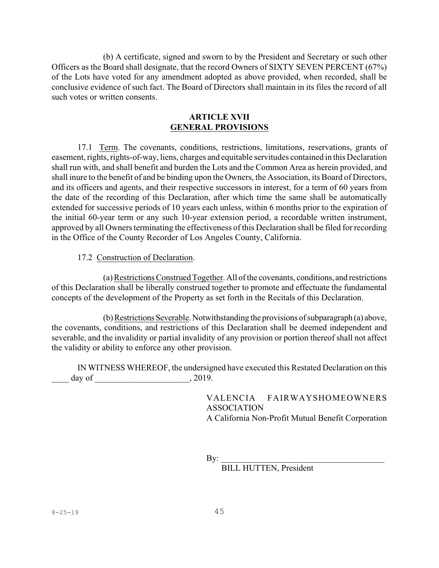(b) A certificate, signed and sworn to by the President and Secretary or such other Officers as the Board shall designate, that the record Owners of SIXTY SEVEN PERCENT (67%) of the Lots have voted for any amendment adopted as above provided, when recorded, shall be conclusive evidence of such fact. The Board of Directors shall maintain in its files the record of all such votes or written consents.

### **ARTICLE XVII GENERAL PROVISIONS**

17.1 Term. The covenants, conditions, restrictions, limitations, reservations, grants of easement, rights, rights-of-way, liens, charges and equitable servitudes contained in this Declaration shall run with, and shall benefit and burden the Lots and the Common Area as herein provided, and shall inure to the benefit of and be binding upon the Owners, the Association, its Board of Directors, and its officers and agents, and their respective successors in interest, for a term of 60 years from the date of the recording of this Declaration, after which time the same shall be automatically extended for successive periods of 10 years each unless, within 6 months prior to the expiration of the initial 60-year term or any such 10-year extension period, a recordable written instrument, approved by all Owners terminating the effectiveness of this Declaration shall be filed for recording in the Office of the County Recorder of Los Angeles County, California.

#### 17.2 Construction of Declaration.

(a)RestrictionsConstruedTogether.All of the covenants, conditions, and restrictions of this Declaration shall be liberally construed together to promote and effectuate the fundamental concepts of the development of the Property as set forth in the Recitals of this Declaration.

(b)RestrictionsSeverable. Notwithstanding the provisions ofsubparagraph (a) above, the covenants, conditions, and restrictions of this Declaration shall be deemed independent and severable, and the invalidity or partial invalidity of any provision or portion thereof shall not affect the validity or ability to enforce any other provision.

IN WITNESS WHEREOF, the undersigned have executed this Restated Declaration on this \_\_\_\_ day of \_\_\_\_\_\_\_\_\_\_\_\_\_\_\_\_\_\_\_\_\_\_, 2019.

> VALENCIA FAIRWAYSHOMEOWNERS ASSOCIATION A California Non-Profit Mutual Benefit Corporation

By: \_\_\_\_\_\_\_\_\_\_\_\_\_\_\_\_\_\_\_\_\_\_\_\_\_\_\_\_\_\_\_\_\_\_\_\_\_\_

BILL HUTTEN, President